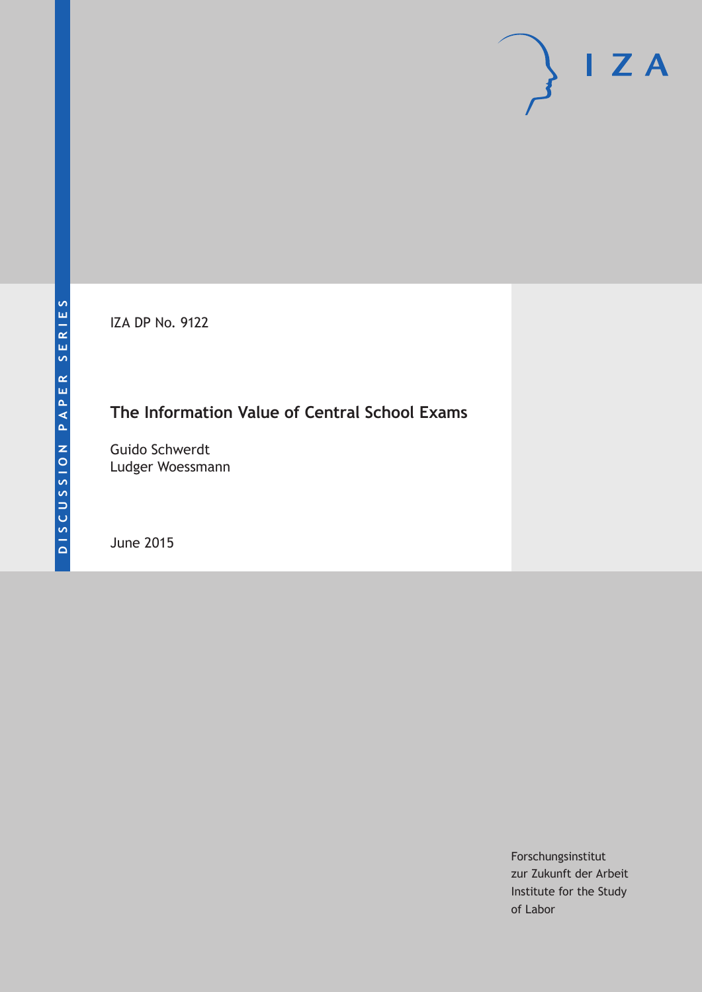IZA DP No. 9122

## **The Information Value of Central School Exams**

Guido Schwerdt Ludger Woessmann

June 2015

Forschungsinstitut zur Zukunft der Arbeit Institute for the Study of Labor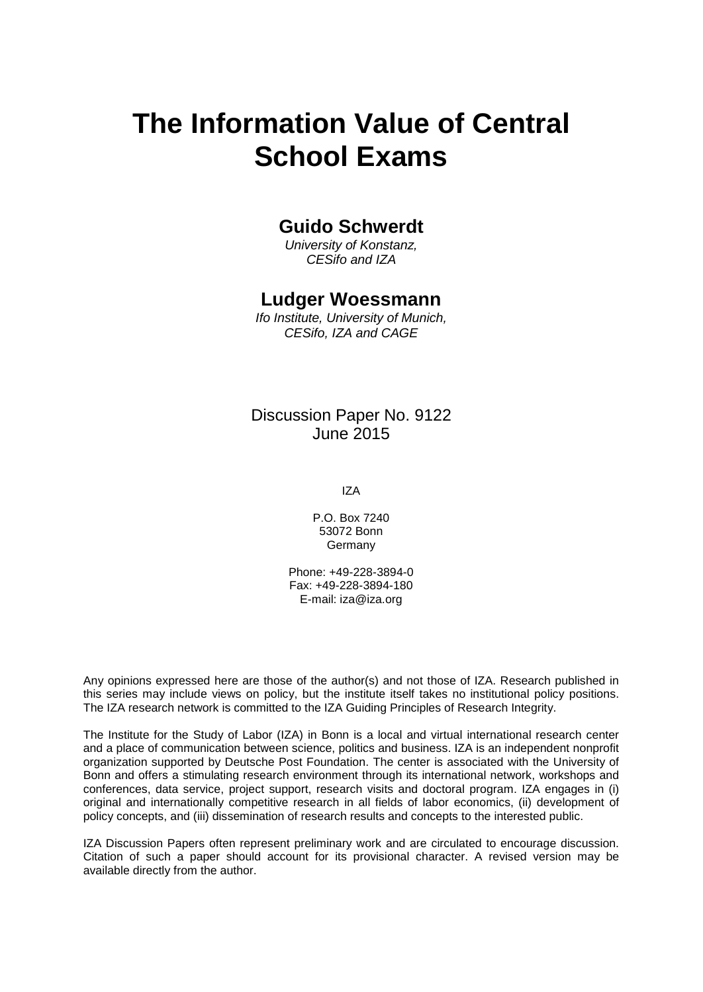# **The Information Value of Central School Exams**

### **Guido Schwerdt**

*University of Konstanz, CESifo and IZA*

### **Ludger Woessmann**

*Ifo Institute, University of Munich, CESifo, IZA and CAGE*

### Discussion Paper No. 9122 June 2015

IZA

P.O. Box 7240 53072 Bonn Germany

Phone: +49-228-3894-0 Fax: +49-228-3894-180 E-mail: iza@iza.org

Any opinions expressed here are those of the author(s) and not those of IZA. Research published in this series may include views on policy, but the institute itself takes no institutional policy positions. The IZA research network is committed to the IZA Guiding Principles of Research Integrity.

The Institute for the Study of Labor (IZA) in Bonn is a local and virtual international research center and a place of communication between science, politics and business. IZA is an independent nonprofit organization supported by Deutsche Post Foundation. The center is associated with the University of Bonn and offers a stimulating research environment through its international network, workshops and conferences, data service, project support, research visits and doctoral program. IZA engages in (i) original and internationally competitive research in all fields of labor economics, (ii) development of policy concepts, and (iii) dissemination of research results and concepts to the interested public.

<span id="page-1-0"></span>IZA Discussion Papers often represent preliminary work and are circulated to encourage discussion. Citation of such a paper should account for its provisional character. A revised version may be available directly from the author.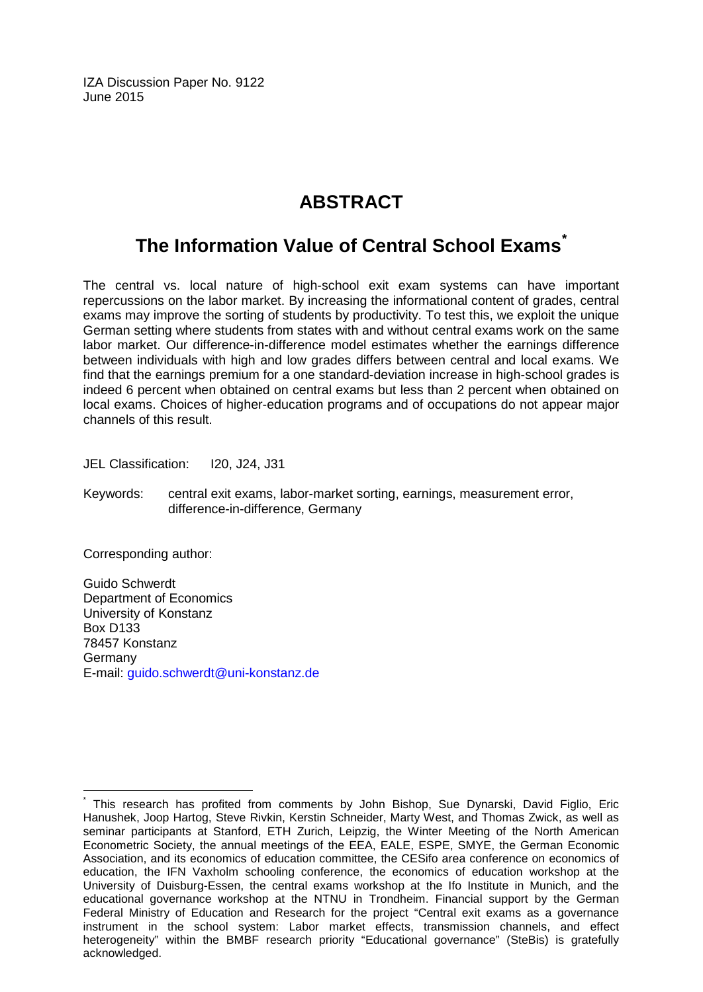IZA Discussion Paper No. 9122 June 2015

# **ABSTRACT**

# **The Information Value of Central School Exams[\\*](#page-1-0)**

The central vs. local nature of high-school exit exam systems can have important repercussions on the labor market. By increasing the informational content of grades, central exams may improve the sorting of students by productivity. To test this, we exploit the unique German setting where students from states with and without central exams work on the same labor market. Our difference-in-difference model estimates whether the earnings difference between individuals with high and low grades differs between central and local exams. We find that the earnings premium for a one standard-deviation increase in high-school grades is indeed 6 percent when obtained on central exams but less than 2 percent when obtained on local exams. Choices of higher-education programs and of occupations do not appear major channels of this result.

JEL Classification: I20, J24, J31

Keywords: central exit exams, labor-market sorting, earnings, measurement error, difference-in-difference, Germany

Corresponding author:

Guido Schwerdt Department of Economics University of Konstanz Box D133 78457 Konstanz Germany E-mail: [guido.schwerdt@uni-konstanz.de](mailto:guido.schwerdt@uni-konstanz.de)

This research has profited from comments by John Bishop, Sue Dynarski, David Figlio, Eric Hanushek, Joop Hartog, Steve Rivkin, Kerstin Schneider, Marty West, and Thomas Zwick, as well as seminar participants at Stanford, ETH Zurich, Leipzig, the Winter Meeting of the North American Econometric Society, the annual meetings of the EEA, EALE, ESPE, SMYE, the German Economic Association, and its economics of education committee, the CESifo area conference on economics of education, the IFN Vaxholm schooling conference, the economics of education workshop at the University of Duisburg-Essen, the central exams workshop at the Ifo Institute in Munich, and the educational governance workshop at the NTNU in Trondheim. Financial support by the German Federal Ministry of Education and Research for the project "Central exit exams as a governance instrument in the school system: Labor market effects, transmission channels, and effect heterogeneity" within the BMBF research priority "Educational governance" (SteBis) is gratefully acknowledged.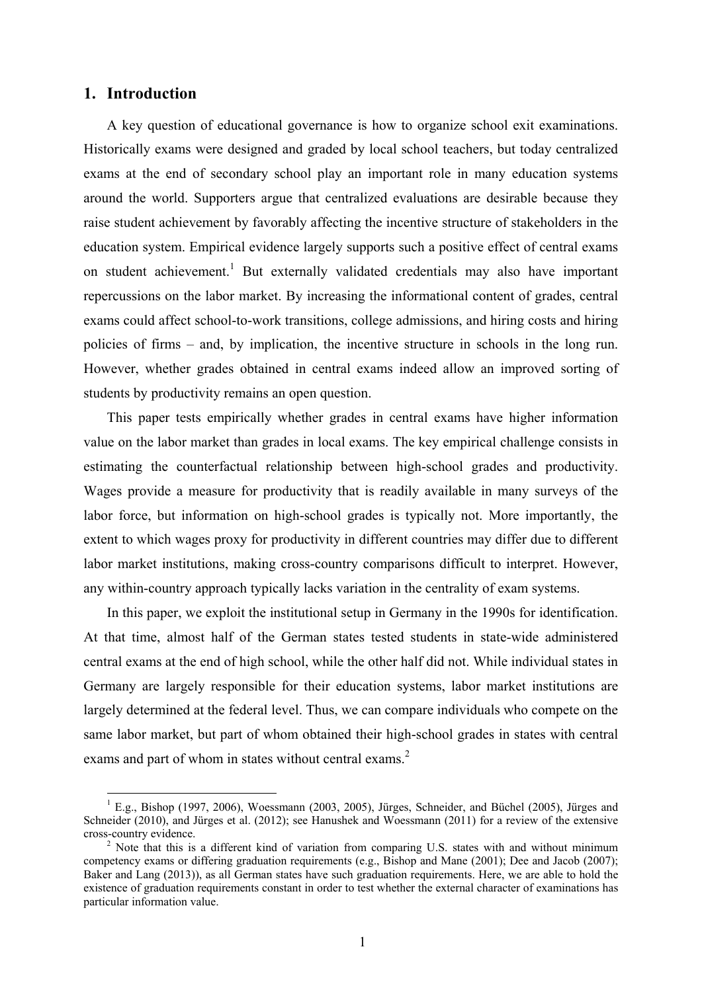#### **1. Introduction**

<u>.</u>

A key question of educational governance is how to organize school exit examinations. Historically exams were designed and graded by local school teachers, but today centralized exams at the end of secondary school play an important role in many education systems around the world. Supporters argue that centralized evaluations are desirable because they raise student achievement by favorably affecting the incentive structure of stakeholders in the education system. Empirical evidence largely supports such a positive effect of central exams on student achievement.<sup>1</sup> But externally validated credentials may also have important repercussions on the labor market. By increasing the informational content of grades, central exams could affect school-to-work transitions, college admissions, and hiring costs and hiring policies of firms – and, by implication, the incentive structure in schools in the long run. However, whether grades obtained in central exams indeed allow an improved sorting of students by productivity remains an open question.

This paper tests empirically whether grades in central exams have higher information value on the labor market than grades in local exams. The key empirical challenge consists in estimating the counterfactual relationship between high-school grades and productivity. Wages provide a measure for productivity that is readily available in many surveys of the labor force, but information on high-school grades is typically not. More importantly, the extent to which wages proxy for productivity in different countries may differ due to different labor market institutions, making cross-country comparisons difficult to interpret. However, any within-country approach typically lacks variation in the centrality of exam systems.

In this paper, we exploit the institutional setup in Germany in the 1990s for identification. At that time, almost half of the German states tested students in state-wide administered central exams at the end of high school, while the other half did not. While individual states in Germany are largely responsible for their education systems, labor market institutions are largely determined at the federal level. Thus, we can compare individuals who compete on the same labor market, but part of whom obtained their high-school grades in states with central exams and part of whom in states without central exams.<sup>2</sup>

<sup>&</sup>lt;sup>1</sup> E.g., Bishop (1997, 2006), Woessmann (2003, 2005), Jürges, Schneider, and Büchel (2005), Jürges and Schneider (2010), and Jürges et al. (2012); see Hanushek and Woessmann (2011) for a review of the extensive cross-country evidence.

<sup>&</sup>lt;sup>2</sup> Note that this is a different kind of variation from comparing U.S. states with and without minimum competency exams or differing graduation requirements (e.g., Bishop and Mane (2001); Dee and Jacob (2007); Baker and Lang (2013)), as all German states have such graduation requirements. Here, we are able to hold the existence of graduation requirements constant in order to test whether the external character of examinations has particular information value.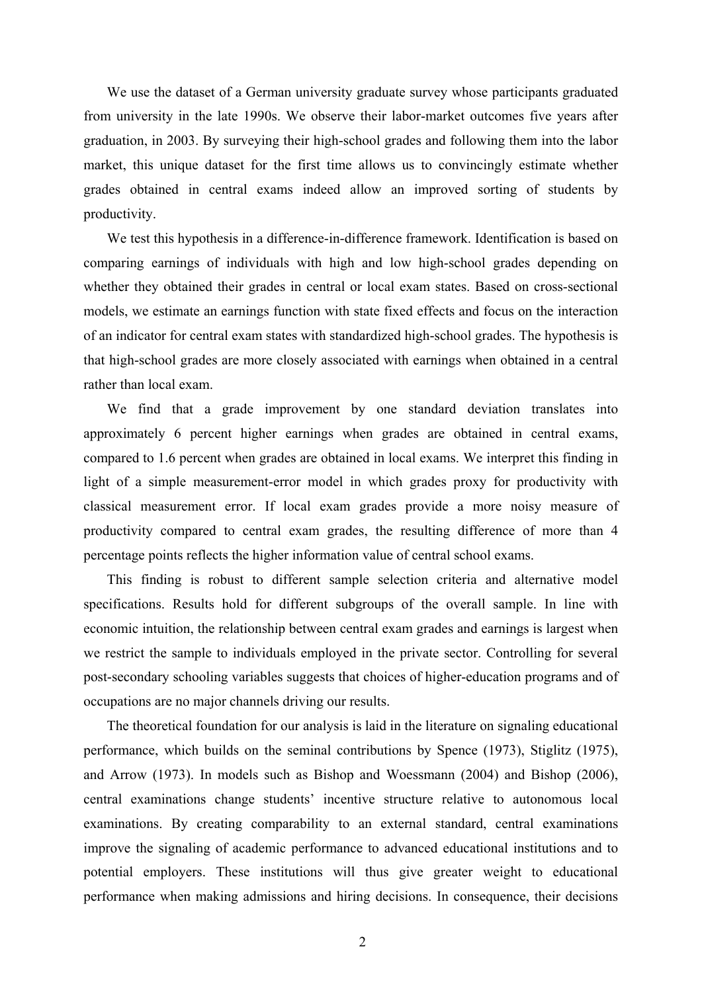We use the dataset of a German university graduate survey whose participants graduated from university in the late 1990s. We observe their labor-market outcomes five years after graduation, in 2003. By surveying their high-school grades and following them into the labor market, this unique dataset for the first time allows us to convincingly estimate whether grades obtained in central exams indeed allow an improved sorting of students by productivity.

We test this hypothesis in a difference-in-difference framework. Identification is based on comparing earnings of individuals with high and low high-school grades depending on whether they obtained their grades in central or local exam states. Based on cross-sectional models, we estimate an earnings function with state fixed effects and focus on the interaction of an indicator for central exam states with standardized high-school grades. The hypothesis is that high-school grades are more closely associated with earnings when obtained in a central rather than local exam.

We find that a grade improvement by one standard deviation translates into approximately 6 percent higher earnings when grades are obtained in central exams, compared to 1.6 percent when grades are obtained in local exams. We interpret this finding in light of a simple measurement-error model in which grades proxy for productivity with classical measurement error. If local exam grades provide a more noisy measure of productivity compared to central exam grades, the resulting difference of more than 4 percentage points reflects the higher information value of central school exams.

This finding is robust to different sample selection criteria and alternative model specifications. Results hold for different subgroups of the overall sample. In line with economic intuition, the relationship between central exam grades and earnings is largest when we restrict the sample to individuals employed in the private sector. Controlling for several post-secondary schooling variables suggests that choices of higher-education programs and of occupations are no major channels driving our results.

The theoretical foundation for our analysis is laid in the literature on signaling educational performance, which builds on the seminal contributions by Spence (1973), Stiglitz (1975), and Arrow (1973). In models such as Bishop and Woessmann (2004) and Bishop (2006), central examinations change students' incentive structure relative to autonomous local examinations. By creating comparability to an external standard, central examinations improve the signaling of academic performance to advanced educational institutions and to potential employers. These institutions will thus give greater weight to educational performance when making admissions and hiring decisions. In consequence, their decisions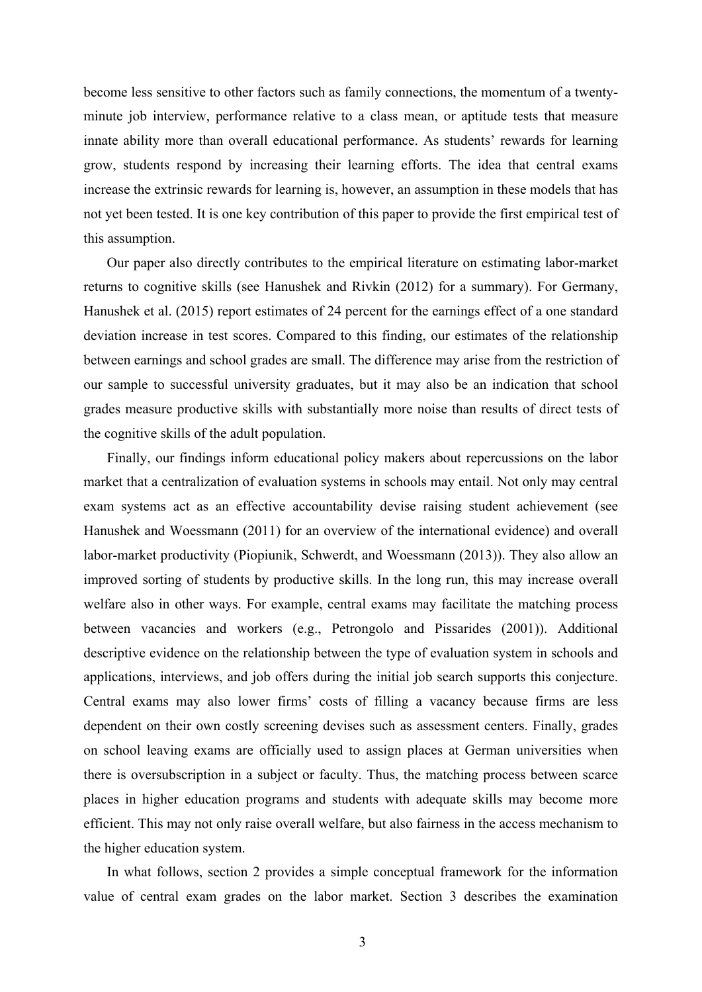become less sensitive to other factors such as family connections, the momentum of a twentyminute job interview, performance relative to a class mean, or aptitude tests that measure innate ability more than overall educational performance. As students' rewards for learning grow, students respond by increasing their learning efforts. The idea that central exams increase the extrinsic rewards for learning is, however, an assumption in these models that has not yet been tested. It is one key contribution of this paper to provide the first empirical test of this assumption.

Our paper also directly contributes to the empirical literature on estimating labor-market returns to cognitive skills (see Hanushek and Rivkin (2012) for a summary). For Germany, Hanushek et al. (2015) report estimates of 24 percent for the earnings effect of a one standard deviation increase in test scores. Compared to this finding, our estimates of the relationship between earnings and school grades are small. The difference may arise from the restriction of our sample to successful university graduates, but it may also be an indication that school grades measure productive skills with substantially more noise than results of direct tests of the cognitive skills of the adult population.

Finally, our findings inform educational policy makers about repercussions on the labor market that a centralization of evaluation systems in schools may entail. Not only may central exam systems act as an effective accountability devise raising student achievement (see Hanushek and Woessmann (2011) for an overview of the international evidence) and overall labor-market productivity (Piopiunik, Schwerdt, and Woessmann (2013)). They also allow an improved sorting of students by productive skills. In the long run, this may increase overall welfare also in other ways. For example, central exams may facilitate the matching process between vacancies and workers (e.g., Petrongolo and Pissarides (2001)). Additional descriptive evidence on the relationship between the type of evaluation system in schools and applications, interviews, and job offers during the initial job search supports this conjecture. Central exams may also lower firms' costs of filling a vacancy because firms are less dependent on their own costly screening devises such as assessment centers. Finally, grades on school leaving exams are officially used to assign places at German universities when there is oversubscription in a subject or faculty. Thus, the matching process between scarce places in higher education programs and students with adequate skills may become more efficient. This may not only raise overall welfare, but also fairness in the access mechanism to the higher education system.

In what follows, section 2 provides a simple conceptual framework for the information value of central exam grades on the labor market. Section 3 describes the examination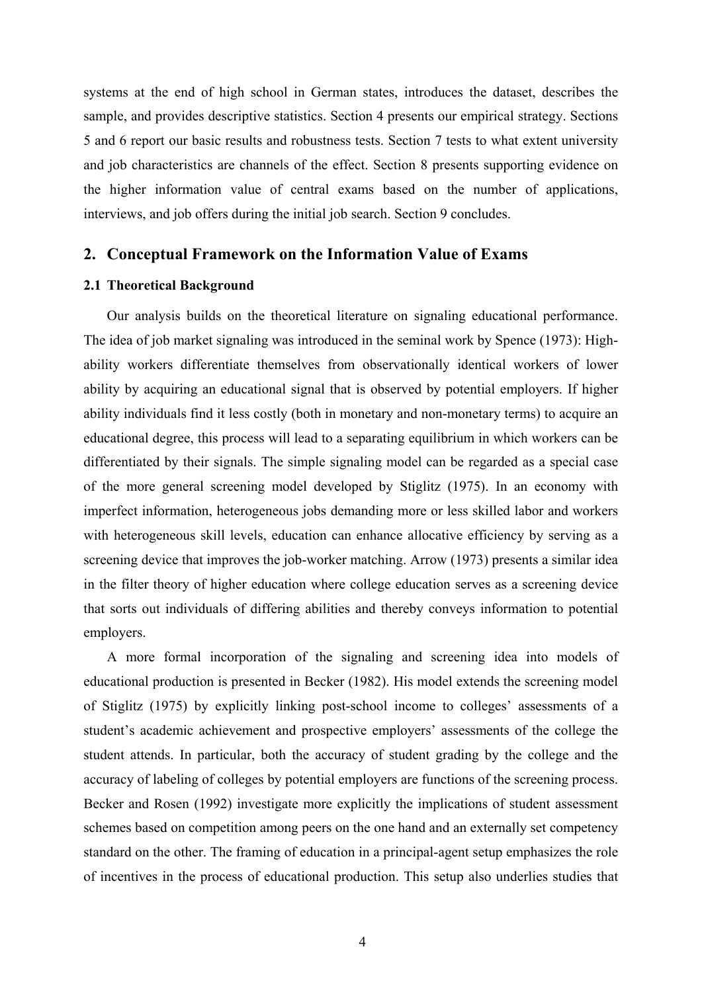systems at the end of high school in German states, introduces the dataset, describes the sample, and provides descriptive statistics. Section 4 presents our empirical strategy. Sections 5 and 6 report our basic results and robustness tests. Section 7 tests to what extent university and job characteristics are channels of the effect. Section 8 presents supporting evidence on the higher information value of central exams based on the number of applications, interviews, and job offers during the initial job search. Section 9 concludes.

#### **2. Conceptual Framework on the Information Value of Exams**

#### **2.1 Theoretical Background**

Our analysis builds on the theoretical literature on signaling educational performance. The idea of job market signaling was introduced in the seminal work by Spence (1973): Highability workers differentiate themselves from observationally identical workers of lower ability by acquiring an educational signal that is observed by potential employers. If higher ability individuals find it less costly (both in monetary and non-monetary terms) to acquire an educational degree, this process will lead to a separating equilibrium in which workers can be differentiated by their signals. The simple signaling model can be regarded as a special case of the more general screening model developed by Stiglitz (1975). In an economy with imperfect information, heterogeneous jobs demanding more or less skilled labor and workers with heterogeneous skill levels, education can enhance allocative efficiency by serving as a screening device that improves the job-worker matching. Arrow (1973) presents a similar idea in the filter theory of higher education where college education serves as a screening device that sorts out individuals of differing abilities and thereby conveys information to potential employers.

A more formal incorporation of the signaling and screening idea into models of educational production is presented in Becker (1982). His model extends the screening model of Stiglitz (1975) by explicitly linking post-school income to colleges' assessments of a student's academic achievement and prospective employers' assessments of the college the student attends. In particular, both the accuracy of student grading by the college and the accuracy of labeling of colleges by potential employers are functions of the screening process. Becker and Rosen (1992) investigate more explicitly the implications of student assessment schemes based on competition among peers on the one hand and an externally set competency standard on the other. The framing of education in a principal-agent setup emphasizes the role of incentives in the process of educational production. This setup also underlies studies that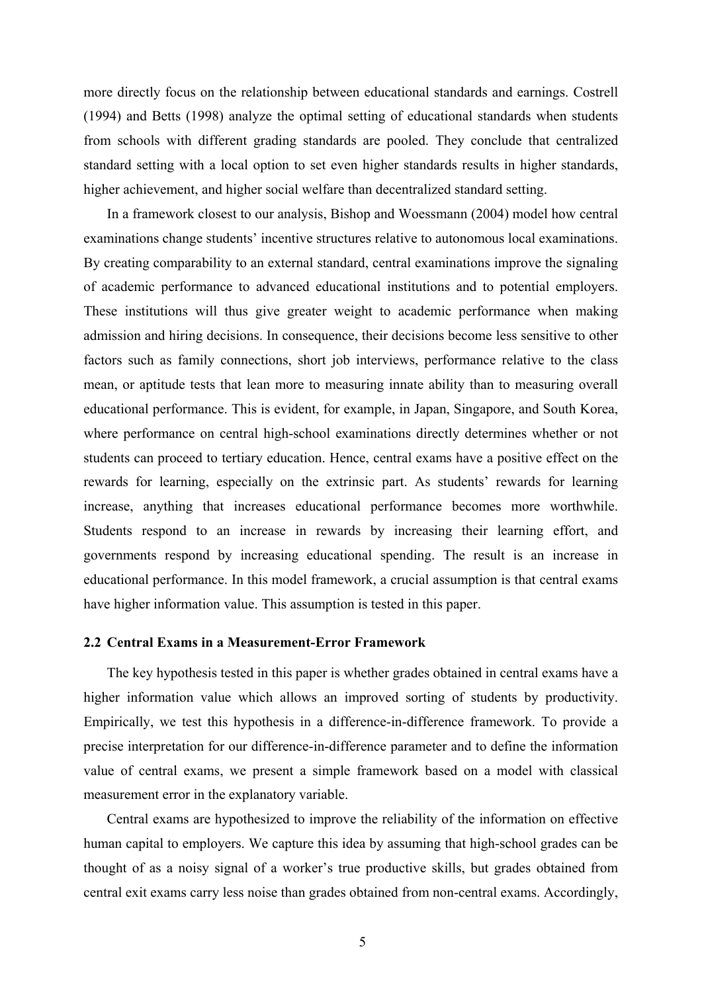more directly focus on the relationship between educational standards and earnings. Costrell (1994) and Betts (1998) analyze the optimal setting of educational standards when students from schools with different grading standards are pooled. They conclude that centralized standard setting with a local option to set even higher standards results in higher standards, higher achievement, and higher social welfare than decentralized standard setting.

In a framework closest to our analysis, Bishop and Woessmann (2004) model how central examinations change students' incentive structures relative to autonomous local examinations. By creating comparability to an external standard, central examinations improve the signaling of academic performance to advanced educational institutions and to potential employers. These institutions will thus give greater weight to academic performance when making admission and hiring decisions. In consequence, their decisions become less sensitive to other factors such as family connections, short job interviews, performance relative to the class mean, or aptitude tests that lean more to measuring innate ability than to measuring overall educational performance. This is evident, for example, in Japan, Singapore, and South Korea, where performance on central high-school examinations directly determines whether or not students can proceed to tertiary education. Hence, central exams have a positive effect on the rewards for learning, especially on the extrinsic part. As students' rewards for learning increase, anything that increases educational performance becomes more worthwhile. Students respond to an increase in rewards by increasing their learning effort, and governments respond by increasing educational spending. The result is an increase in educational performance. In this model framework, a crucial assumption is that central exams have higher information value. This assumption is tested in this paper.

#### **2.2 Central Exams in a Measurement-Error Framework**

The key hypothesis tested in this paper is whether grades obtained in central exams have a higher information value which allows an improved sorting of students by productivity. Empirically, we test this hypothesis in a difference-in-difference framework. To provide a precise interpretation for our difference-in-difference parameter and to define the information value of central exams, we present a simple framework based on a model with classical measurement error in the explanatory variable.

Central exams are hypothesized to improve the reliability of the information on effective human capital to employers. We capture this idea by assuming that high-school grades can be thought of as a noisy signal of a worker's true productive skills, but grades obtained from central exit exams carry less noise than grades obtained from non-central exams. Accordingly,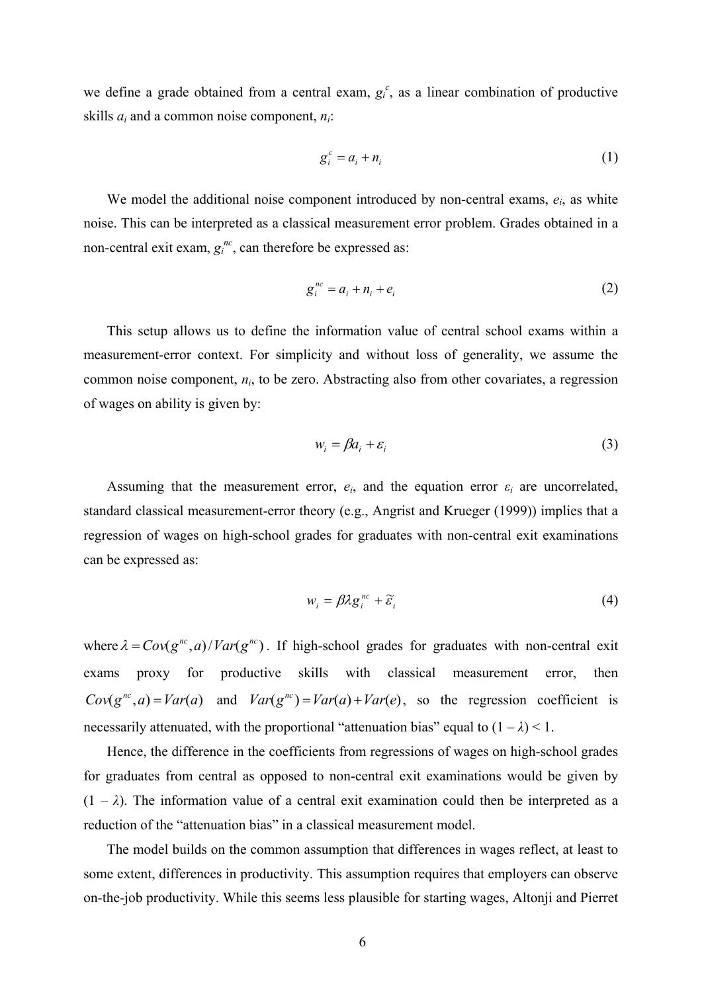we define a grade obtained from a central exam,  $g_i^c$ , as a linear combination of productive skills *ai* and a common noise component, *ni*:

$$
g_i^c = a_i + n_i \tag{1}
$$

We model the additional noise component introduced by non-central exams,  $e_i$ , as white noise. This can be interpreted as a classical measurement error problem. Grades obtained in a non-central exit exam,  $g_i^{nc}$ , can therefore be expressed as:

$$
g_i^{nc} = a_i + n_i + e_i \tag{2}
$$

This setup allows us to define the information value of central school exams within a measurement-error context. For simplicity and without loss of generality, we assume the common noise component,  $n_i$ , to be zero. Abstracting also from other covariates, a regression of wages on ability is given by:

$$
w_i = \beta a_i + \varepsilon_i \tag{3}
$$

Assuming that the measurement error,  $e_i$ , and the equation error  $\varepsilon_i$  are uncorrelated, standard classical measurement-error theory (e.g., Angrist and Krueger (1999)) implies that a regression of wages on high-school grades for graduates with non-central exit examinations can be expressed as:

$$
w_i = \beta \lambda g_i^{nc} + \widetilde{\varepsilon}_i \tag{4}
$$

where  $\lambda = Cov(g^{nc}, a)/Var(g^{nc})$ . If high-school grades for graduates with non-central exit exams proxy for productive skills with classical measurement error, then  $Cov(g^{nc}, a) = Var(a)$  and  $Var(g^{nc}) = Var(a) + Var(e)$ , so the regression coefficient is necessarily attenuated, with the proportional "attenuation bias" equal to  $(1 - \lambda) < 1$ .

Hence, the difference in the coefficients from regressions of wages on high-school grades for graduates from central as opposed to non-central exit examinations would be given by  $(1 - \lambda)$ . The information value of a central exit examination could then be interpreted as a reduction of the "attenuation bias" in a classical measurement model.

The model builds on the common assumption that differences in wages reflect, at least to some extent, differences in productivity. This assumption requires that employers can observe on-the-job productivity. While this seems less plausible for starting wages, Altonji and Pierret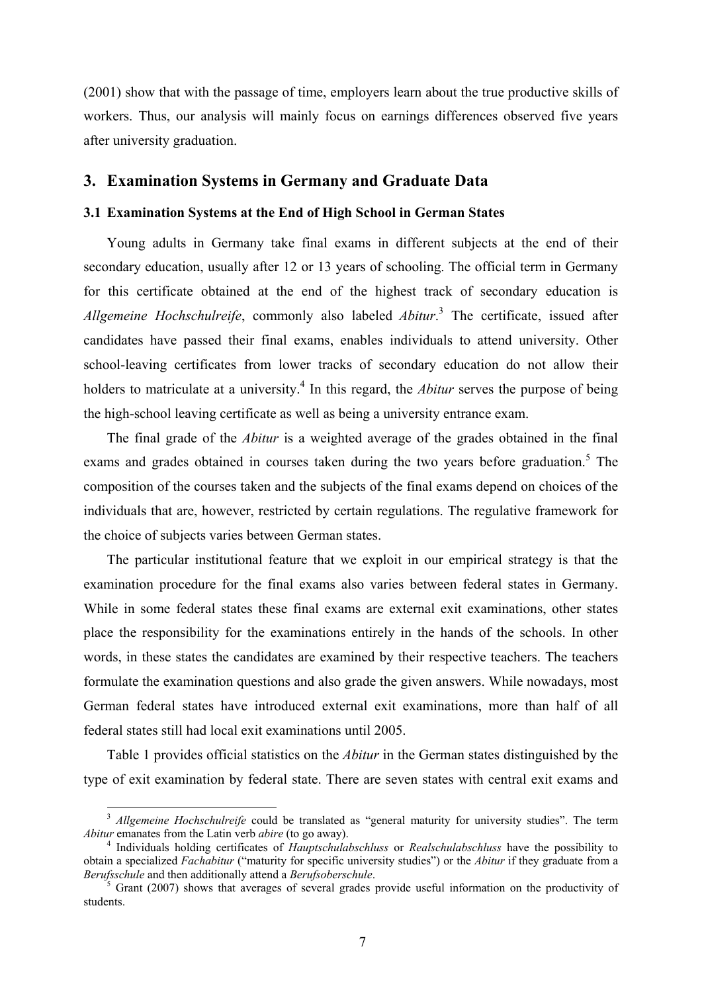(2001) show that with the passage of time, employers learn about the true productive skills of workers. Thus, our analysis will mainly focus on earnings differences observed five years after university graduation.

#### **3. Examination Systems in Germany and Graduate Data**

#### **3.1 Examination Systems at the End of High School in German States**

Young adults in Germany take final exams in different subjects at the end of their secondary education, usually after 12 or 13 years of schooling. The official term in Germany for this certificate obtained at the end of the highest track of secondary education is *Allgemeine Hochschulreife*, commonly also labeled *Abitur*. 3 The certificate, issued after candidates have passed their final exams, enables individuals to attend university. Other school-leaving certificates from lower tracks of secondary education do not allow their holders to matriculate at a university.<sup>4</sup> In this regard, the *Abitur* serves the purpose of being the high-school leaving certificate as well as being a university entrance exam.

The final grade of the *Abitur* is a weighted average of the grades obtained in the final exams and grades obtained in courses taken during the two years before graduation.<sup>5</sup> The composition of the courses taken and the subjects of the final exams depend on choices of the individuals that are, however, restricted by certain regulations. The regulative framework for the choice of subjects varies between German states.

The particular institutional feature that we exploit in our empirical strategy is that the examination procedure for the final exams also varies between federal states in Germany. While in some federal states these final exams are external exit examinations, other states place the responsibility for the examinations entirely in the hands of the schools. In other words, in these states the candidates are examined by their respective teachers. The teachers formulate the examination questions and also grade the given answers. While nowadays, most German federal states have introduced external exit examinations, more than half of all federal states still had local exit examinations until 2005.

Table 1 provides official statistics on the *Abitur* in the German states distinguished by the type of exit examination by federal state. There are seven states with central exit exams and

1

<sup>&</sup>lt;sup>3</sup> *Allgemeine Hochschulreife* could be translated as "general maturity for university studies". The term *Abitur* emanates from the Latin verb *abire* (to go away). 4

Individuals holding certificates of *Hauptschulabschluss* or *Realschulabschluss* have the possibility to obtain a specialized *Fachabitur* ("maturity for specific university studies") or the *Abitur* if they graduate from a *Berufsschule* and then additionally attend a *Berufsoberschule*.

Grant (2007) shows that averages of several grades provide useful information on the productivity of students.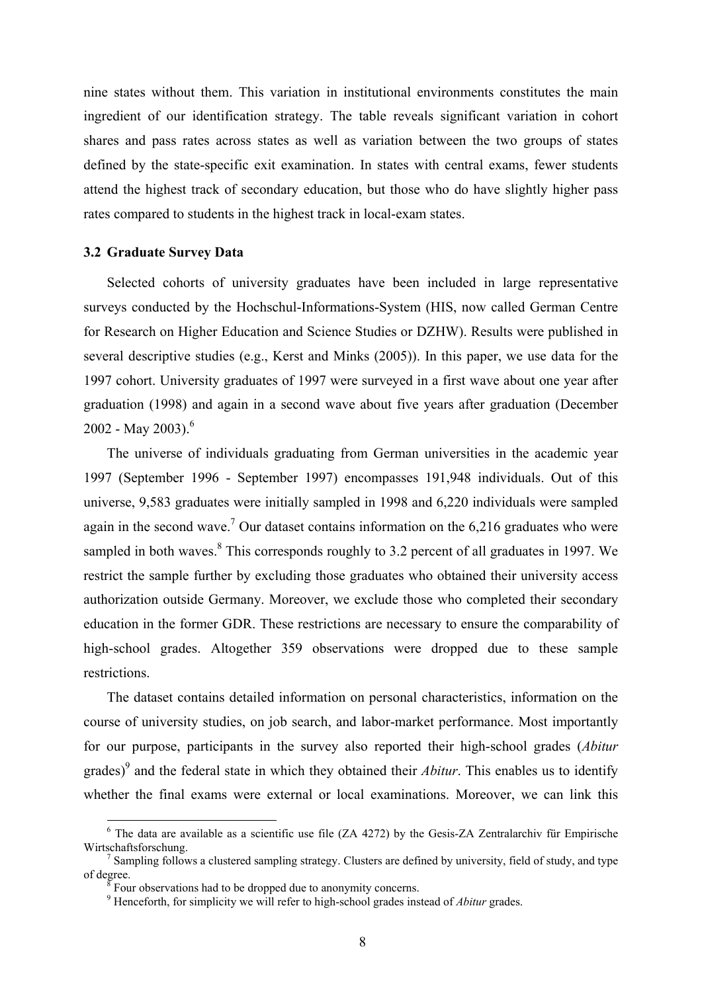nine states without them. This variation in institutional environments constitutes the main ingredient of our identification strategy. The table reveals significant variation in cohort shares and pass rates across states as well as variation between the two groups of states defined by the state-specific exit examination. In states with central exams, fewer students attend the highest track of secondary education, but those who do have slightly higher pass rates compared to students in the highest track in local-exam states.

#### **3.2 Graduate Survey Data**

1

Selected cohorts of university graduates have been included in large representative surveys conducted by the Hochschul-Informations-System (HIS, now called German Centre for Research on Higher Education and Science Studies or DZHW). Results were published in several descriptive studies (e.g., Kerst and Minks (2005)). In this paper, we use data for the 1997 cohort. University graduates of 1997 were surveyed in a first wave about one year after graduation (1998) and again in a second wave about five years after graduation (December 2002 - May 2003). $^6$ 

The universe of individuals graduating from German universities in the academic year 1997 (September 1996 - September 1997) encompasses 191,948 individuals. Out of this universe, 9,583 graduates were initially sampled in 1998 and 6,220 individuals were sampled again in the second wave.<sup>7</sup> Our dataset contains information on the  $6,216$  graduates who were sampled in both waves. $8$  This corresponds roughly to 3.2 percent of all graduates in 1997. We restrict the sample further by excluding those graduates who obtained their university access authorization outside Germany. Moreover, we exclude those who completed their secondary education in the former GDR. These restrictions are necessary to ensure the comparability of high-school grades. Altogether 359 observations were dropped due to these sample restrictions.

The dataset contains detailed information on personal characteristics, information on the course of university studies, on job search, and labor-market performance. Most importantly for our purpose, participants in the survey also reported their high-school grades (*Abitur*  grades)<sup>9</sup> and the federal state in which they obtained their *Abitur*. This enables us to identify whether the final exams were external or local examinations. Moreover, we can link this

 $6$  The data are available as a scientific use file (ZA 4272) by the Gesis-ZA Zentralarchiv für Empirische Wirtschaftsforschung.

Sampling follows a clustered sampling strategy. Clusters are defined by university, field of study, and type of degree.

<sup>8</sup> Four observations had to be dropped due to anonymity concerns.

<sup>9</sup> Henceforth, for simplicity we will refer to high-school grades instead of *Abitur* grades.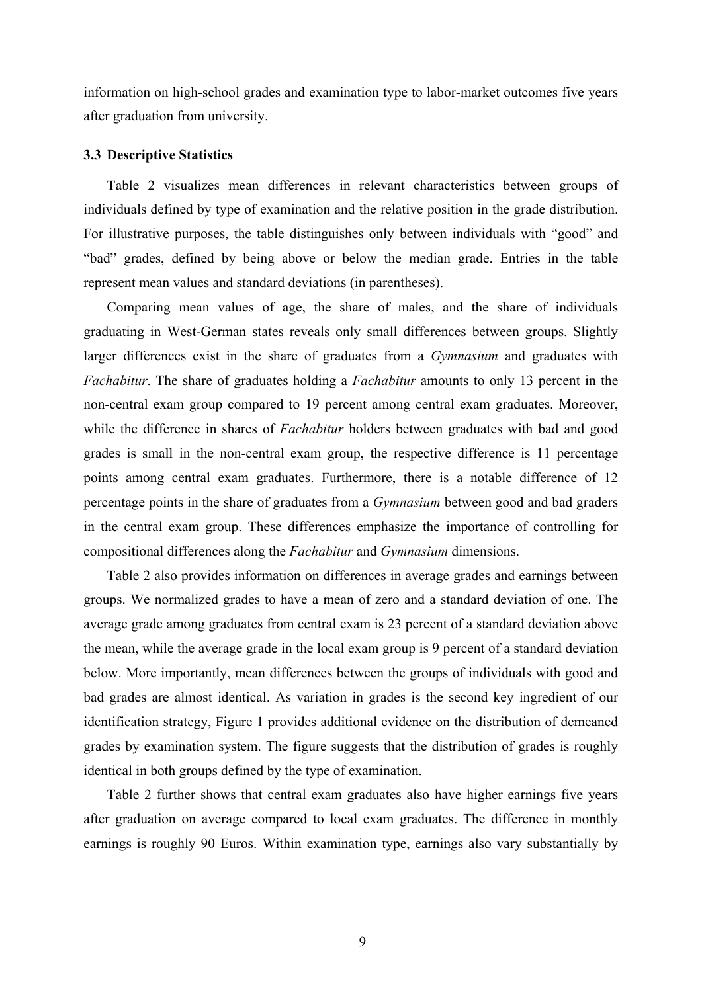information on high-school grades and examination type to labor-market outcomes five years after graduation from university.

#### **3.3 Descriptive Statistics**

Table 2 visualizes mean differences in relevant characteristics between groups of individuals defined by type of examination and the relative position in the grade distribution. For illustrative purposes, the table distinguishes only between individuals with "good" and "bad" grades, defined by being above or below the median grade. Entries in the table represent mean values and standard deviations (in parentheses).

Comparing mean values of age, the share of males, and the share of individuals graduating in West-German states reveals only small differences between groups. Slightly larger differences exist in the share of graduates from a *Gymnasium* and graduates with *Fachabitur*. The share of graduates holding a *Fachabitur* amounts to only 13 percent in the non-central exam group compared to 19 percent among central exam graduates. Moreover, while the difference in shares of *Fachabitur* holders between graduates with bad and good grades is small in the non-central exam group, the respective difference is 11 percentage points among central exam graduates. Furthermore, there is a notable difference of 12 percentage points in the share of graduates from a *Gymnasium* between good and bad graders in the central exam group. These differences emphasize the importance of controlling for compositional differences along the *Fachabitur* and *Gymnasium* dimensions.

Table 2 also provides information on differences in average grades and earnings between groups. We normalized grades to have a mean of zero and a standard deviation of one. The average grade among graduates from central exam is 23 percent of a standard deviation above the mean, while the average grade in the local exam group is 9 percent of a standard deviation below. More importantly, mean differences between the groups of individuals with good and bad grades are almost identical. As variation in grades is the second key ingredient of our identification strategy, Figure 1 provides additional evidence on the distribution of demeaned grades by examination system. The figure suggests that the distribution of grades is roughly identical in both groups defined by the type of examination.

Table 2 further shows that central exam graduates also have higher earnings five years after graduation on average compared to local exam graduates. The difference in monthly earnings is roughly 90 Euros. Within examination type, earnings also vary substantially by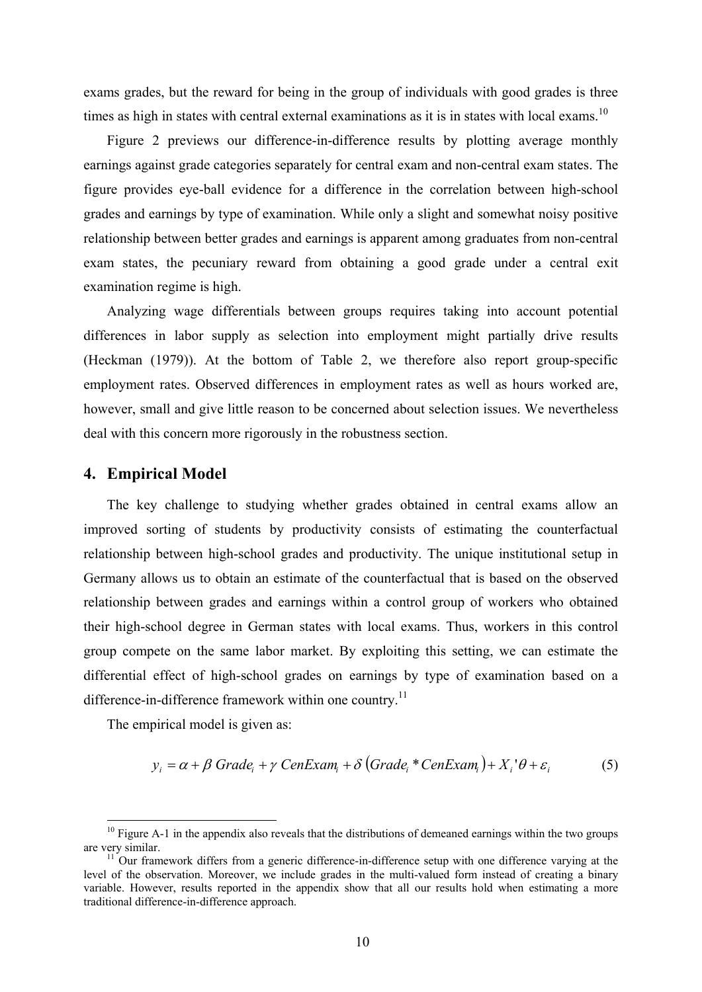exams grades, but the reward for being in the group of individuals with good grades is three times as high in states with central external examinations as it is in states with local exams.<sup>10</sup>

Figure 2 previews our difference-in-difference results by plotting average monthly earnings against grade categories separately for central exam and non-central exam states. The figure provides eye-ball evidence for a difference in the correlation between high-school grades and earnings by type of examination. While only a slight and somewhat noisy positive relationship between better grades and earnings is apparent among graduates from non-central exam states, the pecuniary reward from obtaining a good grade under a central exit examination regime is high.

Analyzing wage differentials between groups requires taking into account potential differences in labor supply as selection into employment might partially drive results (Heckman (1979)). At the bottom of Table 2, we therefore also report group-specific employment rates. Observed differences in employment rates as well as hours worked are, however, small and give little reason to be concerned about selection issues. We nevertheless deal with this concern more rigorously in the robustness section.

#### **4. Empirical Model**

The key challenge to studying whether grades obtained in central exams allow an improved sorting of students by productivity consists of estimating the counterfactual relationship between high-school grades and productivity. The unique institutional setup in Germany allows us to obtain an estimate of the counterfactual that is based on the observed relationship between grades and earnings within a control group of workers who obtained their high-school degree in German states with local exams. Thus, workers in this control group compete on the same labor market. By exploiting this setting, we can estimate the differential effect of high-school grades on earnings by type of examination based on a difference-in-difference framework within one country.<sup>11</sup>

The empirical model is given as:

1

$$
y_i = \alpha + \beta \, Grade_i + \gamma \, CenExam_i + \delta \, (Grade_i * CenExam_i) + X_i' \theta + \varepsilon_i \tag{5}
$$

<sup>&</sup>lt;sup>10</sup> Figure A-1 in the appendix also reveals that the distributions of demeaned earnings within the two groups are very similar.

 $11$  Our framework differs from a generic difference-in-difference setup with one difference varying at the level of the observation. Moreover, we include grades in the multi-valued form instead of creating a binary variable. However, results reported in the appendix show that all our results hold when estimating a more traditional difference-in-difference approach.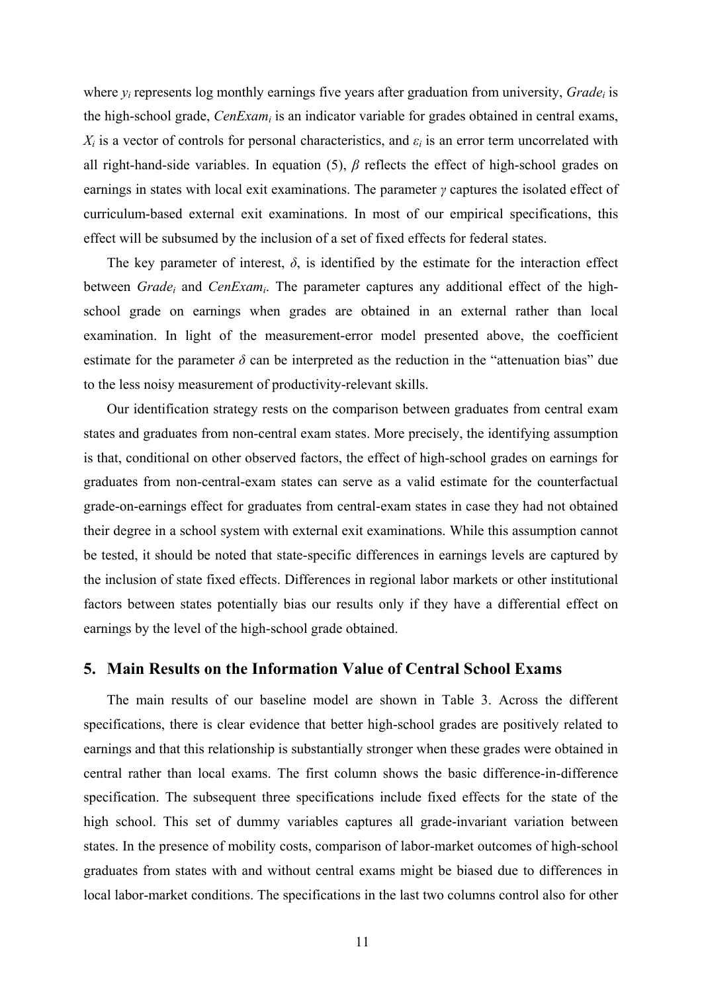where  $y_i$  represents log monthly earnings five years after graduation from university, *Grade<sub>i</sub>* is the high-school grade, *CenExami* is an indicator variable for grades obtained in central exams,  $X_i$  is a vector of controls for personal characteristics, and  $\varepsilon_i$  is an error term uncorrelated with all right-hand-side variables. In equation (5), *β* reflects the effect of high-school grades on earnings in states with local exit examinations. The parameter *γ* captures the isolated effect of curriculum-based external exit examinations. In most of our empirical specifications, this effect will be subsumed by the inclusion of a set of fixed effects for federal states.

The key parameter of interest,  $\delta$ , is identified by the estimate for the interaction effect between *Gradei* and *CenExami*. The parameter captures any additional effect of the highschool grade on earnings when grades are obtained in an external rather than local examination. In light of the measurement-error model presented above, the coefficient estimate for the parameter  $\delta$  can be interpreted as the reduction in the "attenuation bias" due to the less noisy measurement of productivity-relevant skills.

Our identification strategy rests on the comparison between graduates from central exam states and graduates from non-central exam states. More precisely, the identifying assumption is that, conditional on other observed factors, the effect of high-school grades on earnings for graduates from non-central-exam states can serve as a valid estimate for the counterfactual grade-on-earnings effect for graduates from central-exam states in case they had not obtained their degree in a school system with external exit examinations. While this assumption cannot be tested, it should be noted that state-specific differences in earnings levels are captured by the inclusion of state fixed effects. Differences in regional labor markets or other institutional factors between states potentially bias our results only if they have a differential effect on earnings by the level of the high-school grade obtained.

#### **5. Main Results on the Information Value of Central School Exams**

The main results of our baseline model are shown in Table 3. Across the different specifications, there is clear evidence that better high-school grades are positively related to earnings and that this relationship is substantially stronger when these grades were obtained in central rather than local exams. The first column shows the basic difference-in-difference specification. The subsequent three specifications include fixed effects for the state of the high school. This set of dummy variables captures all grade-invariant variation between states. In the presence of mobility costs, comparison of labor-market outcomes of high-school graduates from states with and without central exams might be biased due to differences in local labor-market conditions. The specifications in the last two columns control also for other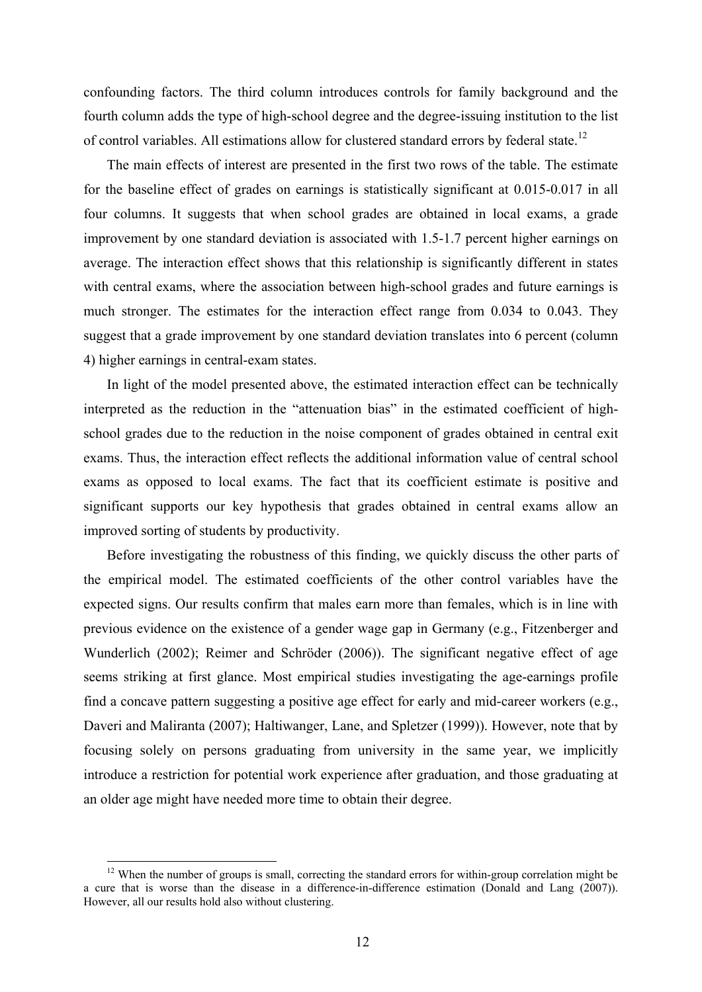confounding factors. The third column introduces controls for family background and the fourth column adds the type of high-school degree and the degree-issuing institution to the list of control variables. All estimations allow for clustered standard errors by federal state.<sup>12</sup>

The main effects of interest are presented in the first two rows of the table. The estimate for the baseline effect of grades on earnings is statistically significant at 0.015-0.017 in all four columns. It suggests that when school grades are obtained in local exams, a grade improvement by one standard deviation is associated with 1.5-1.7 percent higher earnings on average. The interaction effect shows that this relationship is significantly different in states with central exams, where the association between high-school grades and future earnings is much stronger. The estimates for the interaction effect range from 0.034 to 0.043. They suggest that a grade improvement by one standard deviation translates into 6 percent (column 4) higher earnings in central-exam states.

In light of the model presented above, the estimated interaction effect can be technically interpreted as the reduction in the "attenuation bias" in the estimated coefficient of highschool grades due to the reduction in the noise component of grades obtained in central exit exams. Thus, the interaction effect reflects the additional information value of central school exams as opposed to local exams. The fact that its coefficient estimate is positive and significant supports our key hypothesis that grades obtained in central exams allow an improved sorting of students by productivity.

Before investigating the robustness of this finding, we quickly discuss the other parts of the empirical model. The estimated coefficients of the other control variables have the expected signs. Our results confirm that males earn more than females, which is in line with previous evidence on the existence of a gender wage gap in Germany (e.g., Fitzenberger and Wunderlich (2002); Reimer and Schröder (2006)). The significant negative effect of age seems striking at first glance. Most empirical studies investigating the age-earnings profile find a concave pattern suggesting a positive age effect for early and mid-career workers (e.g., Daveri and Maliranta (2007); Haltiwanger, Lane, and Spletzer (1999)). However, note that by focusing solely on persons graduating from university in the same year, we implicitly introduce a restriction for potential work experience after graduation, and those graduating at an older age might have needed more time to obtain their degree.

1

<sup>&</sup>lt;sup>12</sup> When the number of groups is small, correcting the standard errors for within-group correlation might be a cure that is worse than the disease in a difference-in-difference estimation (Donald and Lang (2007)). However, all our results hold also without clustering.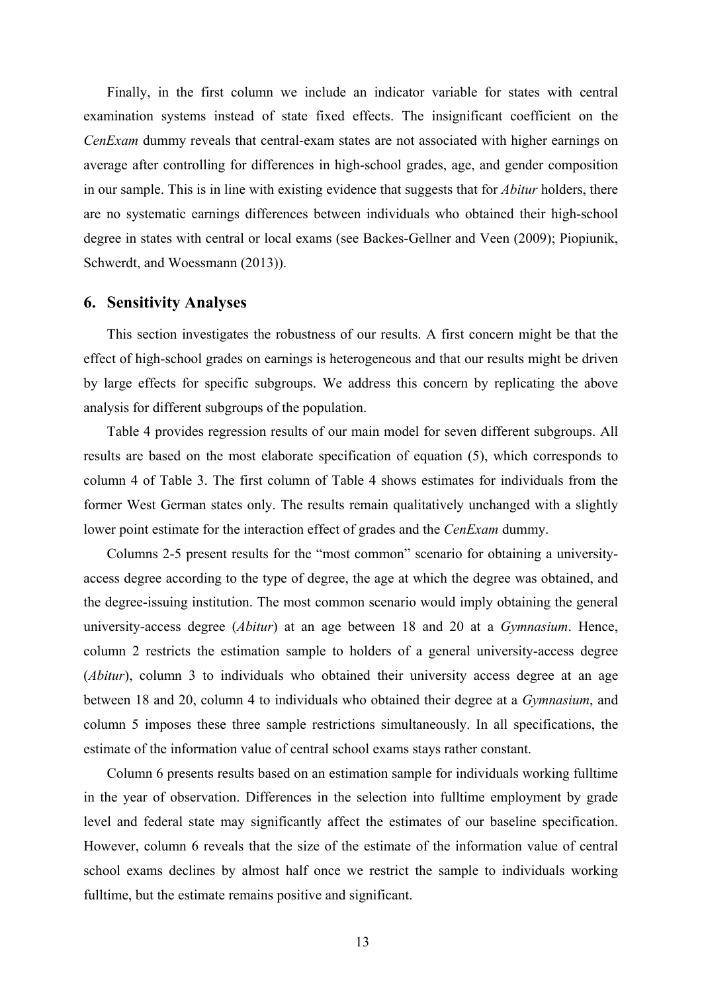Finally, in the first column we include an indicator variable for states with central examination systems instead of state fixed effects. The insignificant coefficient on the *CenExam* dummy reveals that central-exam states are not associated with higher earnings on average after controlling for differences in high-school grades, age, and gender composition in our sample. This is in line with existing evidence that suggests that for *Abitur* holders, there are no systematic earnings differences between individuals who obtained their high-school degree in states with central or local exams (see Backes-Gellner and Veen (2009); Piopiunik, Schwerdt, and Woessmann (2013)).

#### **6. Sensitivity Analyses**

This section investigates the robustness of our results. A first concern might be that the effect of high-school grades on earnings is heterogeneous and that our results might be driven by large effects for specific subgroups. We address this concern by replicating the above analysis for different subgroups of the population.

Table 4 provides regression results of our main model for seven different subgroups. All results are based on the most elaborate specification of equation (5), which corresponds to column 4 of Table 3. The first column of Table 4 shows estimates for individuals from the former West German states only. The results remain qualitatively unchanged with a slightly lower point estimate for the interaction effect of grades and the *CenExam* dummy.

Columns 2-5 present results for the "most common" scenario for obtaining a universityaccess degree according to the type of degree, the age at which the degree was obtained, and the degree-issuing institution. The most common scenario would imply obtaining the general university-access degree (*Abitur*) at an age between 18 and 20 at a *Gymnasium*. Hence, column 2 restricts the estimation sample to holders of a general university-access degree (*Abitur*), column 3 to individuals who obtained their university access degree at an age between 18 and 20, column 4 to individuals who obtained their degree at a *Gymnasium*, and column 5 imposes these three sample restrictions simultaneously. In all specifications, the estimate of the information value of central school exams stays rather constant.

Column 6 presents results based on an estimation sample for individuals working fulltime in the year of observation. Differences in the selection into fulltime employment by grade level and federal state may significantly affect the estimates of our baseline specification. However, column 6 reveals that the size of the estimate of the information value of central school exams declines by almost half once we restrict the sample to individuals working fulltime, but the estimate remains positive and significant.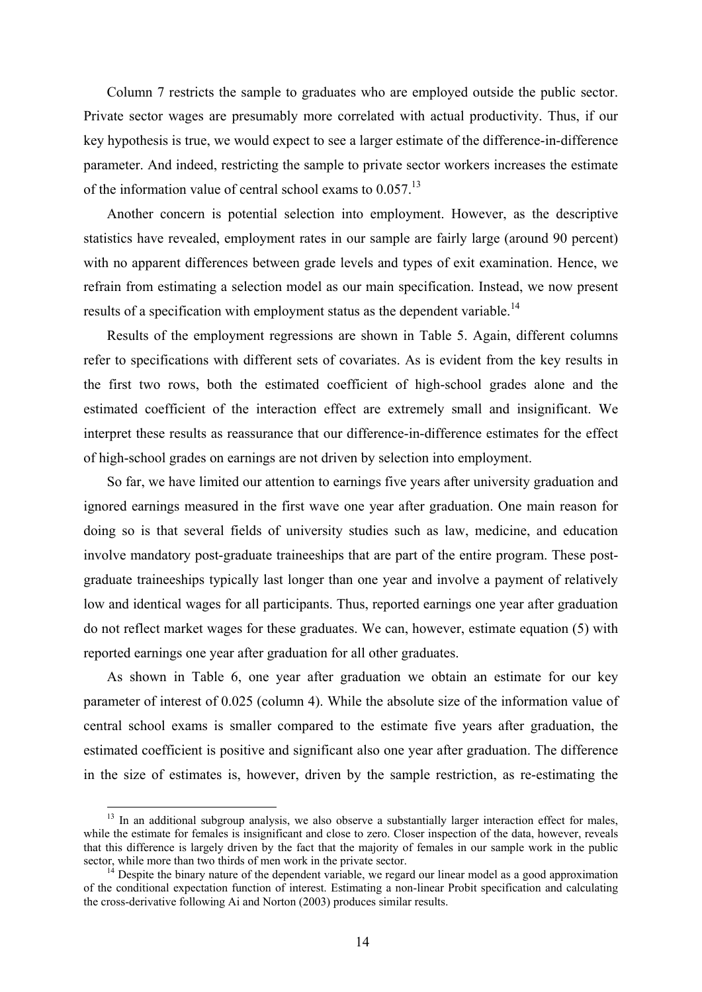Column 7 restricts the sample to graduates who are employed outside the public sector. Private sector wages are presumably more correlated with actual productivity. Thus, if our key hypothesis is true, we would expect to see a larger estimate of the difference-in-difference parameter. And indeed, restricting the sample to private sector workers increases the estimate of the information value of central school exams to 0.057.<sup>13</sup>

Another concern is potential selection into employment. However, as the descriptive statistics have revealed, employment rates in our sample are fairly large (around 90 percent) with no apparent differences between grade levels and types of exit examination. Hence, we refrain from estimating a selection model as our main specification. Instead, we now present results of a specification with employment status as the dependent variable.<sup>14</sup>

Results of the employment regressions are shown in Table 5. Again, different columns refer to specifications with different sets of covariates. As is evident from the key results in the first two rows, both the estimated coefficient of high-school grades alone and the estimated coefficient of the interaction effect are extremely small and insignificant. We interpret these results as reassurance that our difference-in-difference estimates for the effect of high-school grades on earnings are not driven by selection into employment.

So far, we have limited our attention to earnings five years after university graduation and ignored earnings measured in the first wave one year after graduation. One main reason for doing so is that several fields of university studies such as law, medicine, and education involve mandatory post-graduate traineeships that are part of the entire program. These postgraduate traineeships typically last longer than one year and involve a payment of relatively low and identical wages for all participants. Thus, reported earnings one year after graduation do not reflect market wages for these graduates. We can, however, estimate equation (5) with reported earnings one year after graduation for all other graduates.

As shown in Table 6, one year after graduation we obtain an estimate for our key parameter of interest of 0.025 (column 4). While the absolute size of the information value of central school exams is smaller compared to the estimate five years after graduation, the estimated coefficient is positive and significant also one year after graduation. The difference in the size of estimates is, however, driven by the sample restriction, as re-estimating the

1

<sup>&</sup>lt;sup>13</sup> In an additional subgroup analysis, we also observe a substantially larger interaction effect for males, while the estimate for females is insignificant and close to zero. Closer inspection of the data, however, reveals that this difference is largely driven by the fact that the majority of females in our sample work in the public sector, while more than two thirds of men work in the private sector.

 $4$  Despite the binary nature of the dependent variable, we regard our linear model as a good approximation of the conditional expectation function of interest. Estimating a non-linear Probit specification and calculating the cross-derivative following Ai and Norton (2003) produces similar results.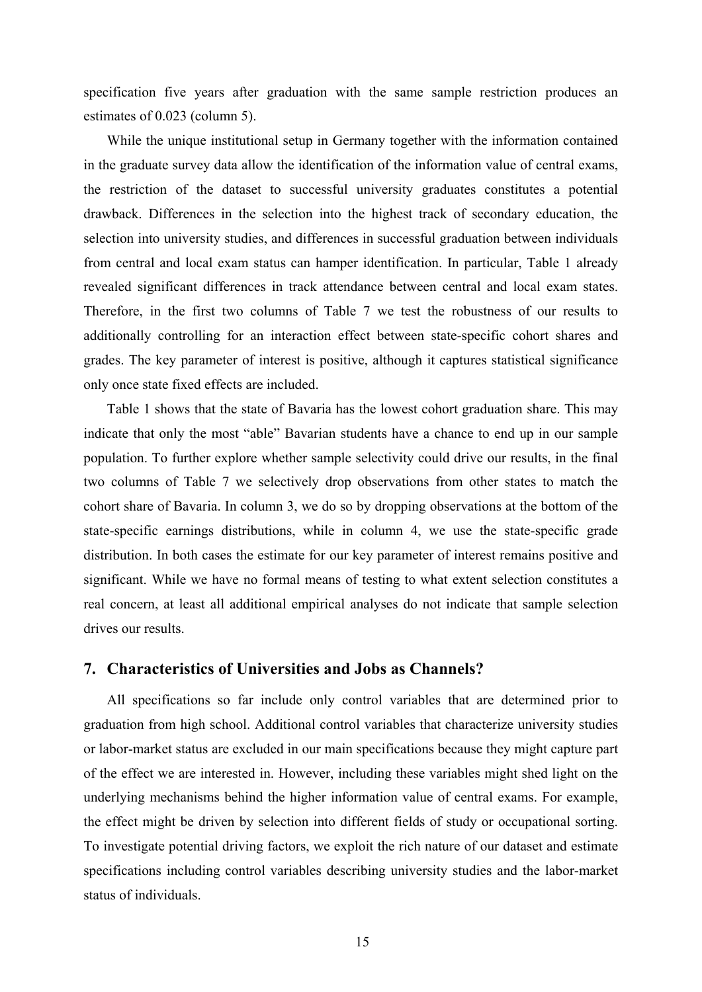specification five years after graduation with the same sample restriction produces an estimates of 0.023 (column 5).

While the unique institutional setup in Germany together with the information contained in the graduate survey data allow the identification of the information value of central exams, the restriction of the dataset to successful university graduates constitutes a potential drawback. Differences in the selection into the highest track of secondary education, the selection into university studies, and differences in successful graduation between individuals from central and local exam status can hamper identification. In particular, Table 1 already revealed significant differences in track attendance between central and local exam states. Therefore, in the first two columns of Table 7 we test the robustness of our results to additionally controlling for an interaction effect between state-specific cohort shares and grades. The key parameter of interest is positive, although it captures statistical significance only once state fixed effects are included.

Table 1 shows that the state of Bavaria has the lowest cohort graduation share. This may indicate that only the most "able" Bavarian students have a chance to end up in our sample population. To further explore whether sample selectivity could drive our results, in the final two columns of Table 7 we selectively drop observations from other states to match the cohort share of Bavaria. In column 3, we do so by dropping observations at the bottom of the state-specific earnings distributions, while in column 4, we use the state-specific grade distribution. In both cases the estimate for our key parameter of interest remains positive and significant. While we have no formal means of testing to what extent selection constitutes a real concern, at least all additional empirical analyses do not indicate that sample selection drives our results.

#### **7. Characteristics of Universities and Jobs as Channels?**

All specifications so far include only control variables that are determined prior to graduation from high school. Additional control variables that characterize university studies or labor-market status are excluded in our main specifications because they might capture part of the effect we are interested in. However, including these variables might shed light on the underlying mechanisms behind the higher information value of central exams. For example, the effect might be driven by selection into different fields of study or occupational sorting. To investigate potential driving factors, we exploit the rich nature of our dataset and estimate specifications including control variables describing university studies and the labor-market status of individuals.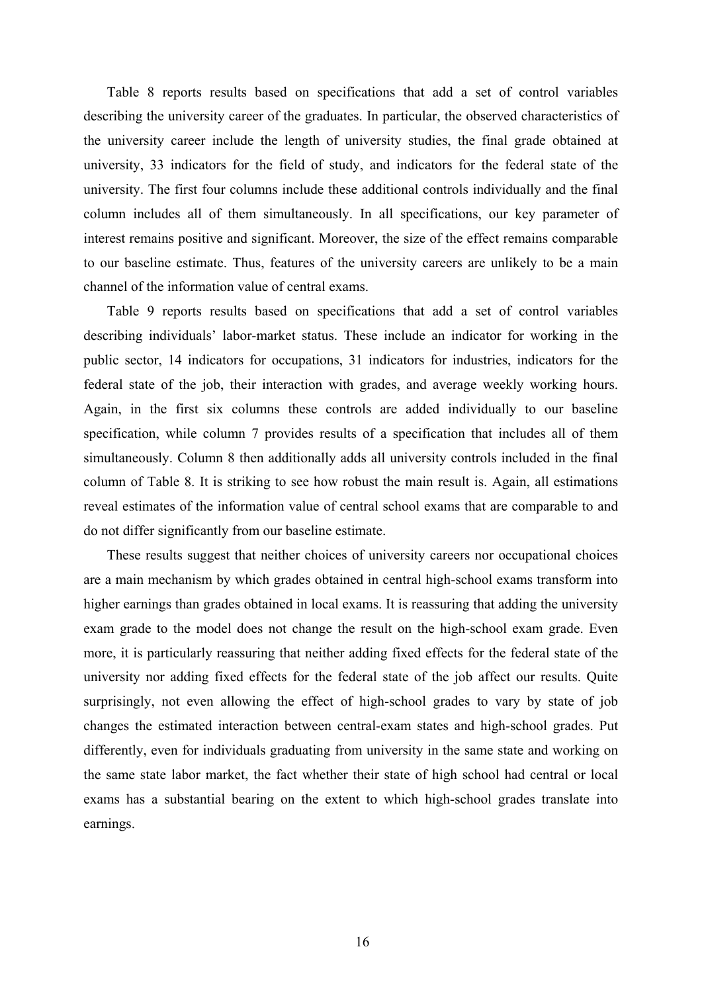Table 8 reports results based on specifications that add a set of control variables describing the university career of the graduates. In particular, the observed characteristics of the university career include the length of university studies, the final grade obtained at university, 33 indicators for the field of study, and indicators for the federal state of the university. The first four columns include these additional controls individually and the final column includes all of them simultaneously. In all specifications, our key parameter of interest remains positive and significant. Moreover, the size of the effect remains comparable to our baseline estimate. Thus, features of the university careers are unlikely to be a main channel of the information value of central exams.

Table 9 reports results based on specifications that add a set of control variables describing individuals' labor-market status. These include an indicator for working in the public sector, 14 indicators for occupations, 31 indicators for industries, indicators for the federal state of the job, their interaction with grades, and average weekly working hours. Again, in the first six columns these controls are added individually to our baseline specification, while column 7 provides results of a specification that includes all of them simultaneously. Column 8 then additionally adds all university controls included in the final column of Table 8. It is striking to see how robust the main result is. Again, all estimations reveal estimates of the information value of central school exams that are comparable to and do not differ significantly from our baseline estimate.

These results suggest that neither choices of university careers nor occupational choices are a main mechanism by which grades obtained in central high-school exams transform into higher earnings than grades obtained in local exams. It is reassuring that adding the university exam grade to the model does not change the result on the high-school exam grade. Even more, it is particularly reassuring that neither adding fixed effects for the federal state of the university nor adding fixed effects for the federal state of the job affect our results. Quite surprisingly, not even allowing the effect of high-school grades to vary by state of job changes the estimated interaction between central-exam states and high-school grades. Put differently, even for individuals graduating from university in the same state and working on the same state labor market, the fact whether their state of high school had central or local exams has a substantial bearing on the extent to which high-school grades translate into earnings.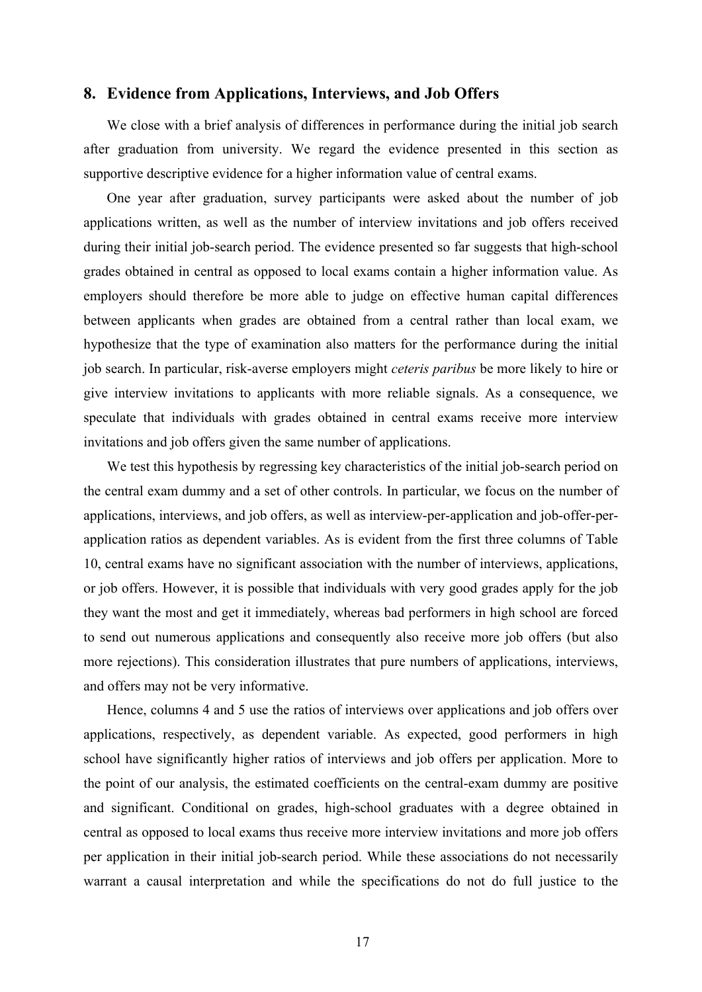#### **8. Evidence from Applications, Interviews, and Job Offers**

We close with a brief analysis of differences in performance during the initial job search after graduation from university. We regard the evidence presented in this section as supportive descriptive evidence for a higher information value of central exams.

One year after graduation, survey participants were asked about the number of job applications written, as well as the number of interview invitations and job offers received during their initial job-search period. The evidence presented so far suggests that high-school grades obtained in central as opposed to local exams contain a higher information value. As employers should therefore be more able to judge on effective human capital differences between applicants when grades are obtained from a central rather than local exam, we hypothesize that the type of examination also matters for the performance during the initial job search. In particular, risk-averse employers might *ceteris paribus* be more likely to hire or give interview invitations to applicants with more reliable signals. As a consequence, we speculate that individuals with grades obtained in central exams receive more interview invitations and job offers given the same number of applications.

We test this hypothesis by regressing key characteristics of the initial job-search period on the central exam dummy and a set of other controls. In particular, we focus on the number of applications, interviews, and job offers, as well as interview-per-application and job-offer-perapplication ratios as dependent variables. As is evident from the first three columns of Table 10, central exams have no significant association with the number of interviews, applications, or job offers. However, it is possible that individuals with very good grades apply for the job they want the most and get it immediately, whereas bad performers in high school are forced to send out numerous applications and consequently also receive more job offers (but also more rejections). This consideration illustrates that pure numbers of applications, interviews, and offers may not be very informative.

Hence, columns 4 and 5 use the ratios of interviews over applications and job offers over applications, respectively, as dependent variable. As expected, good performers in high school have significantly higher ratios of interviews and job offers per application. More to the point of our analysis, the estimated coefficients on the central-exam dummy are positive and significant. Conditional on grades, high-school graduates with a degree obtained in central as opposed to local exams thus receive more interview invitations and more job offers per application in their initial job-search period. While these associations do not necessarily warrant a causal interpretation and while the specifications do not do full justice to the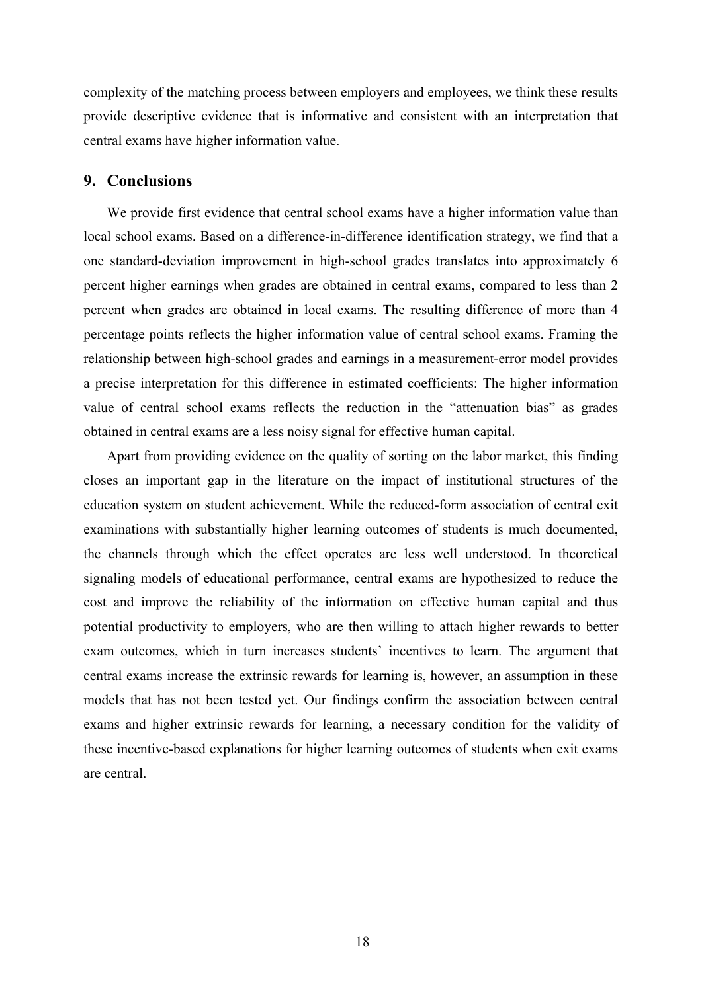complexity of the matching process between employers and employees, we think these results provide descriptive evidence that is informative and consistent with an interpretation that central exams have higher information value.

#### **9. Conclusions**

We provide first evidence that central school exams have a higher information value than local school exams. Based on a difference-in-difference identification strategy, we find that a one standard-deviation improvement in high-school grades translates into approximately 6 percent higher earnings when grades are obtained in central exams, compared to less than 2 percent when grades are obtained in local exams. The resulting difference of more than 4 percentage points reflects the higher information value of central school exams. Framing the relationship between high-school grades and earnings in a measurement-error model provides a precise interpretation for this difference in estimated coefficients: The higher information value of central school exams reflects the reduction in the "attenuation bias" as grades obtained in central exams are a less noisy signal for effective human capital.

Apart from providing evidence on the quality of sorting on the labor market, this finding closes an important gap in the literature on the impact of institutional structures of the education system on student achievement. While the reduced-form association of central exit examinations with substantially higher learning outcomes of students is much documented, the channels through which the effect operates are less well understood. In theoretical signaling models of educational performance, central exams are hypothesized to reduce the cost and improve the reliability of the information on effective human capital and thus potential productivity to employers, who are then willing to attach higher rewards to better exam outcomes, which in turn increases students' incentives to learn. The argument that central exams increase the extrinsic rewards for learning is, however, an assumption in these models that has not been tested yet. Our findings confirm the association between central exams and higher extrinsic rewards for learning, a necessary condition for the validity of these incentive-based explanations for higher learning outcomes of students when exit exams are central.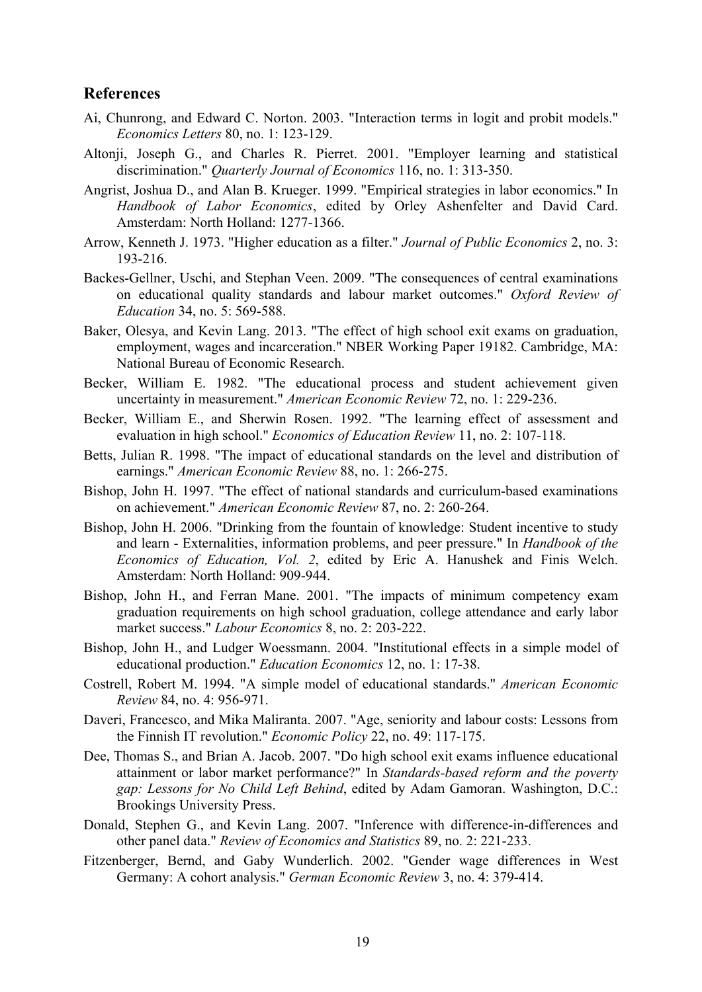#### **References**

- Ai, Chunrong, and Edward C. Norton. 2003. "Interaction terms in logit and probit models." *Economics Letters* 80, no. 1: 123-129.
- Altonji, Joseph G., and Charles R. Pierret. 2001. "Employer learning and statistical discrimination." *Quarterly Journal of Economics* 116, no. 1: 313-350.
- Angrist, Joshua D., and Alan B. Krueger. 1999. "Empirical strategies in labor economics." In *Handbook of Labor Economics*, edited by Orley Ashenfelter and David Card. Amsterdam: North Holland: 1277-1366.
- Arrow, Kenneth J. 1973. "Higher education as a filter." *Journal of Public Economics* 2, no. 3: 193-216.
- Backes-Gellner, Uschi, and Stephan Veen. 2009. "The consequences of central examinations on educational quality standards and labour market outcomes." *Oxford Review of Education* 34, no. 5: 569-588.
- Baker, Olesya, and Kevin Lang. 2013. "The effect of high school exit exams on graduation, employment, wages and incarceration." NBER Working Paper 19182. Cambridge, MA: National Bureau of Economic Research.
- Becker, William E. 1982. "The educational process and student achievement given uncertainty in measurement." *American Economic Review* 72, no. 1: 229-236.
- Becker, William E., and Sherwin Rosen. 1992. "The learning effect of assessment and evaluation in high school." *Economics of Education Review* 11, no. 2: 107-118.
- Betts, Julian R. 1998. "The impact of educational standards on the level and distribution of earnings." *American Economic Review* 88, no. 1: 266-275.
- Bishop, John H. 1997. "The effect of national standards and curriculum-based examinations on achievement." *American Economic Review* 87, no. 2: 260-264.
- Bishop, John H. 2006. "Drinking from the fountain of knowledge: Student incentive to study and learn - Externalities, information problems, and peer pressure." In *Handbook of the Economics of Education, Vol. 2*, edited by Eric A. Hanushek and Finis Welch. Amsterdam: North Holland: 909-944.
- Bishop, John H., and Ferran Mane. 2001. "The impacts of minimum competency exam graduation requirements on high school graduation, college attendance and early labor market success." *Labour Economics* 8, no. 2: 203-222.
- Bishop, John H., and Ludger Woessmann. 2004. "Institutional effects in a simple model of educational production." *Education Economics* 12, no. 1: 17-38.
- Costrell, Robert M. 1994. "A simple model of educational standards." *American Economic Review* 84, no. 4: 956-971.
- Daveri, Francesco, and Mika Maliranta. 2007. "Age, seniority and labour costs: Lessons from the Finnish IT revolution." *Economic Policy* 22, no. 49: 117-175.
- Dee, Thomas S., and Brian A. Jacob. 2007. "Do high school exit exams influence educational attainment or labor market performance?" In *Standards-based reform and the poverty gap: Lessons for No Child Left Behind*, edited by Adam Gamoran. Washington, D.C.: Brookings University Press.
- Donald, Stephen G., and Kevin Lang. 2007. "Inference with difference-in-differences and other panel data." *Review of Economics and Statistics* 89, no. 2: 221-233.
- Fitzenberger, Bernd, and Gaby Wunderlich. 2002. "Gender wage differences in West Germany: A cohort analysis." *German Economic Review* 3, no. 4: 379-414.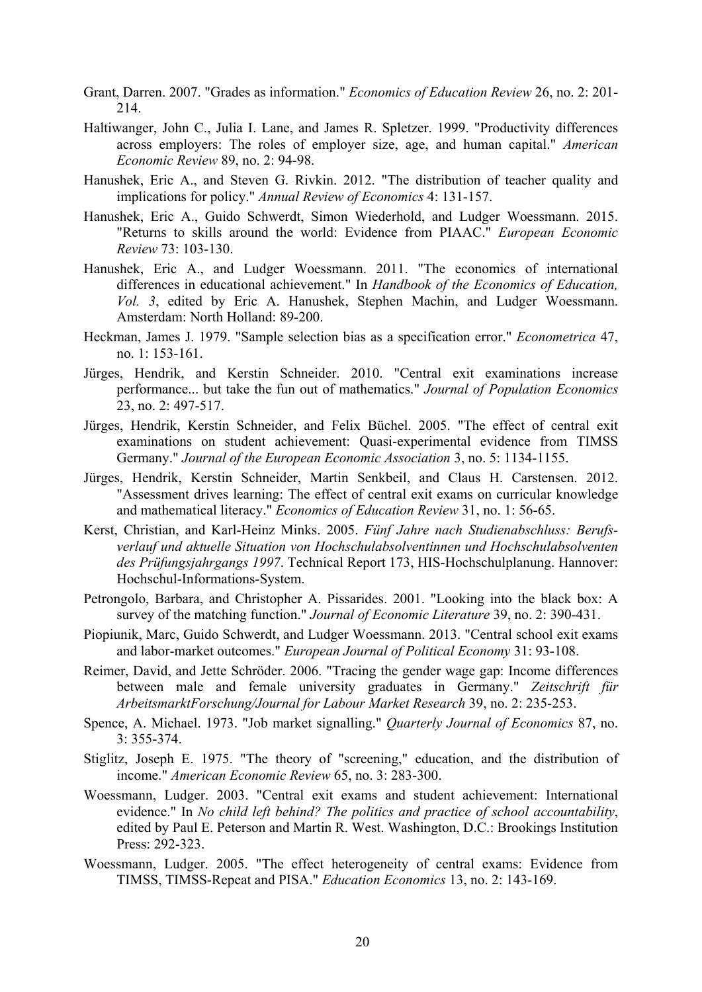- Grant, Darren. 2007. "Grades as information." *Economics of Education Review* 26, no. 2: 201- 214.
- Haltiwanger, John C., Julia I. Lane, and James R. Spletzer. 1999. "Productivity differences across employers: The roles of employer size, age, and human capital." *American Economic Review* 89, no. 2: 94-98.
- Hanushek, Eric A., and Steven G. Rivkin. 2012. "The distribution of teacher quality and implications for policy." *Annual Review of Economics* 4: 131-157.
- Hanushek, Eric A., Guido Schwerdt, Simon Wiederhold, and Ludger Woessmann. 2015. "Returns to skills around the world: Evidence from PIAAC." *European Economic Review* 73: 103-130.
- Hanushek, Eric A., and Ludger Woessmann. 2011. "The economics of international differences in educational achievement." In *Handbook of the Economics of Education, Vol. 3*, edited by Eric A. Hanushek, Stephen Machin, and Ludger Woessmann. Amsterdam: North Holland: 89-200.
- Heckman, James J. 1979. "Sample selection bias as a specification error." *Econometrica* 47, no. 1: 153-161.
- Jürges, Hendrik, and Kerstin Schneider. 2010. "Central exit examinations increase performance... but take the fun out of mathematics." *Journal of Population Economics* 23, no. 2: 497-517.
- Jürges, Hendrik, Kerstin Schneider, and Felix Büchel. 2005. "The effect of central exit examinations on student achievement: Quasi-experimental evidence from TIMSS Germany." *Journal of the European Economic Association* 3, no. 5: 1134-1155.
- Jürges, Hendrik, Kerstin Schneider, Martin Senkbeil, and Claus H. Carstensen. 2012. "Assessment drives learning: The effect of central exit exams on curricular knowledge and mathematical literacy." *Economics of Education Review* 31, no. 1: 56-65.
- Kerst, Christian, and Karl-Heinz Minks. 2005. *Fünf Jahre nach Studienabschluss: Berufsverlauf und aktuelle Situation von Hochschulabsolventinnen und Hochschulabsolventen des Prüfungsjahrgangs 1997*. Technical Report 173, HIS-Hochschulplanung. Hannover: Hochschul-Informations-System.
- Petrongolo, Barbara, and Christopher A. Pissarides. 2001. "Looking into the black box: A survey of the matching function." *Journal of Economic Literature* 39, no. 2: 390-431.
- Piopiunik, Marc, Guido Schwerdt, and Ludger Woessmann. 2013. "Central school exit exams and labor-market outcomes." *European Journal of Political Economy* 31: 93-108.
- Reimer, David, and Jette Schröder. 2006. "Tracing the gender wage gap: Income differences between male and female university graduates in Germany." *Zeitschrift für ArbeitsmarktForschung/Journal for Labour Market Research* 39, no. 2: 235-253.
- Spence, A. Michael. 1973. "Job market signalling." *Quarterly Journal of Economics* 87, no. 3: 355-374.
- Stiglitz, Joseph E. 1975. "The theory of "screening," education, and the distribution of income." *American Economic Review* 65, no. 3: 283-300.
- Woessmann, Ludger. 2003. "Central exit exams and student achievement: International evidence." In *No child left behind? The politics and practice of school accountability*, edited by Paul E. Peterson and Martin R. West. Washington, D.C.: Brookings Institution Press: 292-323.
- Woessmann, Ludger. 2005. "The effect heterogeneity of central exams: Evidence from TIMSS, TIMSS-Repeat and PISA." *Education Economics* 13, no. 2: 143-169.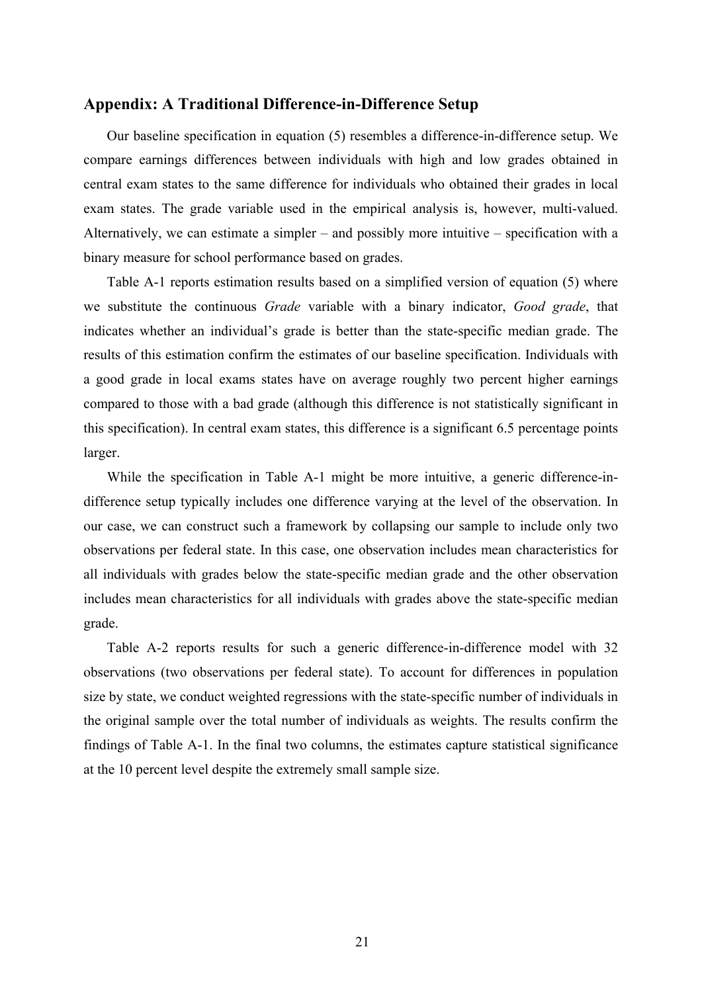#### **Appendix: A Traditional Difference-in-Difference Setup**

Our baseline specification in equation (5) resembles a difference-in-difference setup. We compare earnings differences between individuals with high and low grades obtained in central exam states to the same difference for individuals who obtained their grades in local exam states. The grade variable used in the empirical analysis is, however, multi-valued. Alternatively, we can estimate a simpler – and possibly more intuitive – specification with a binary measure for school performance based on grades.

Table A-1 reports estimation results based on a simplified version of equation (5) where we substitute the continuous *Grade* variable with a binary indicator, *Good grade*, that indicates whether an individual's grade is better than the state-specific median grade. The results of this estimation confirm the estimates of our baseline specification. Individuals with a good grade in local exams states have on average roughly two percent higher earnings compared to those with a bad grade (although this difference is not statistically significant in this specification). In central exam states, this difference is a significant 6.5 percentage points larger.

While the specification in Table A-1 might be more intuitive, a generic difference-indifference setup typically includes one difference varying at the level of the observation. In our case, we can construct such a framework by collapsing our sample to include only two observations per federal state. In this case, one observation includes mean characteristics for all individuals with grades below the state-specific median grade and the other observation includes mean characteristics for all individuals with grades above the state-specific median grade.

Table A-2 reports results for such a generic difference-in-difference model with 32 observations (two observations per federal state). To account for differences in population size by state, we conduct weighted regressions with the state-specific number of individuals in the original sample over the total number of individuals as weights. The results confirm the findings of Table A-1. In the final two columns, the estimates capture statistical significance at the 10 percent level despite the extremely small sample size.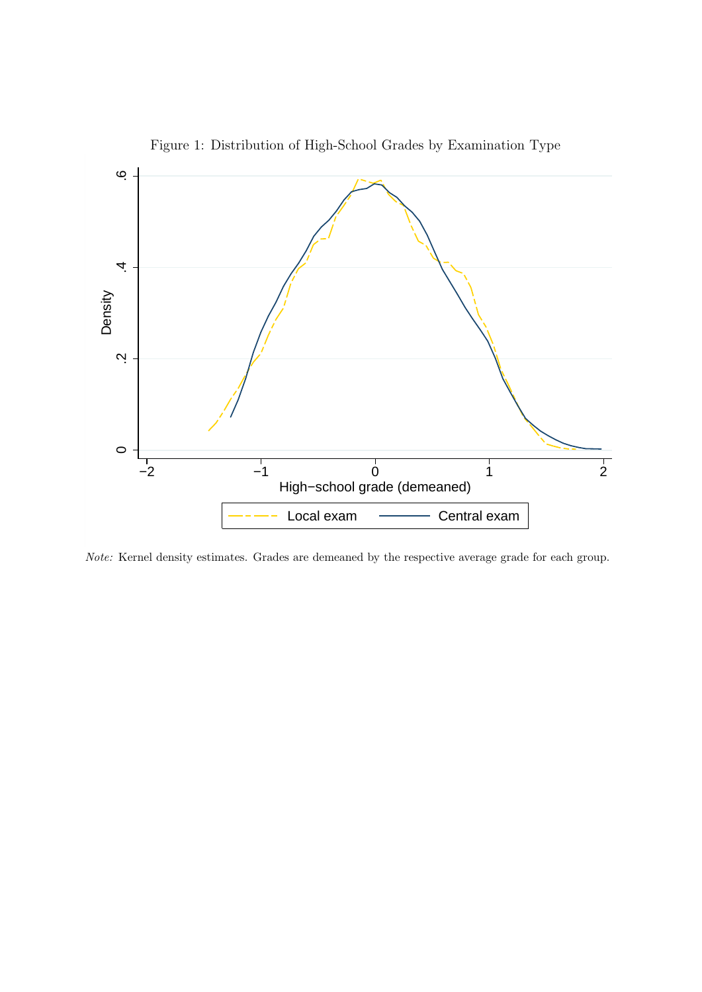

Figure 1: Distribution of High-School Grades by Examination Type

*Note:* Kernel density estimates. Grades are demeaned by the respective average grade for each group.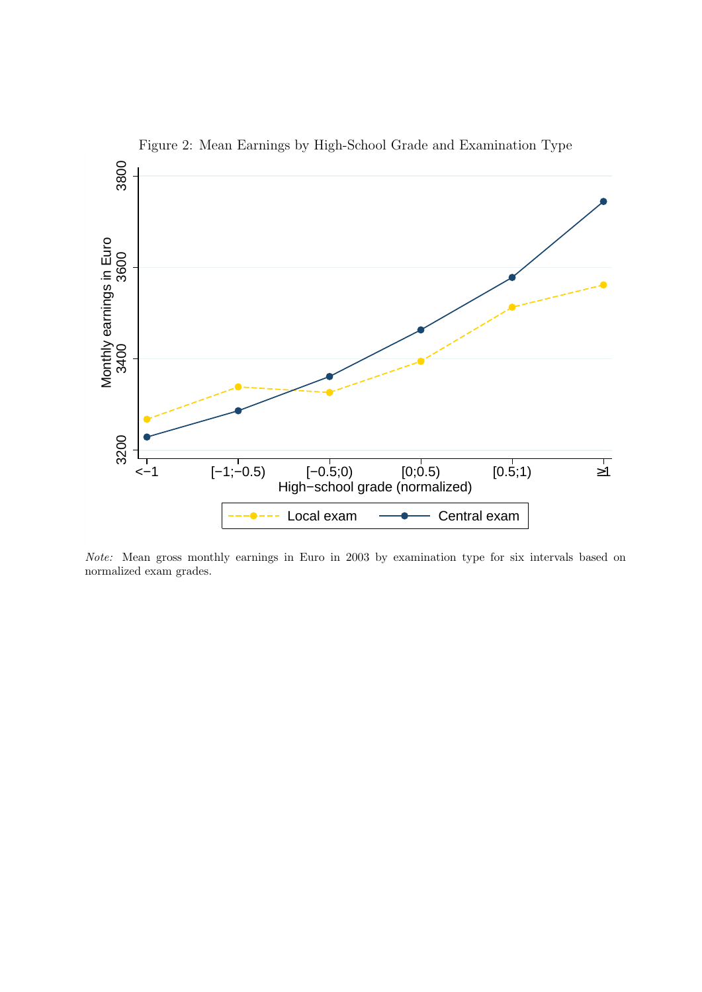

Figure 2: Mean Earnings by High-School Grade and Examination Type

*Note:* Mean gross monthly earnings in Euro in 2003 by examination type for six intervals based on normalized exam grades.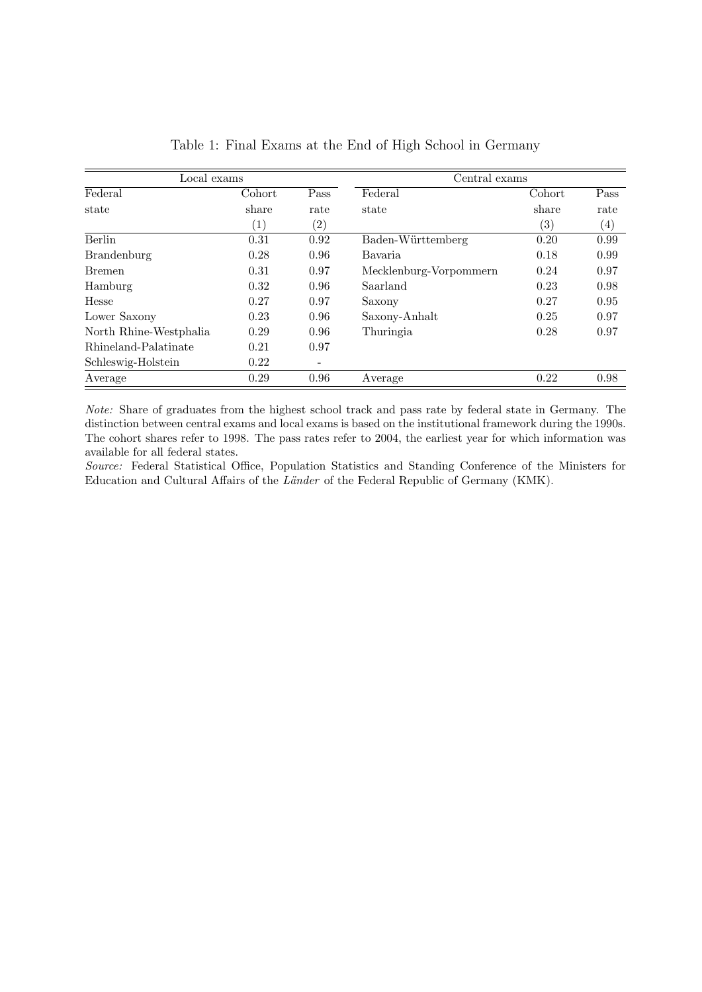| Local exams            |                   |                   | Central exams          |        |                   |  |
|------------------------|-------------------|-------------------|------------------------|--------|-------------------|--|
| Federal                | Cohort            | Pass              | Federal                | Cohort | Pass              |  |
| state                  | share             | rate              | state                  | share  | rate              |  |
|                        | $\left( 1\right)$ | $\left( 2\right)$ |                        | (3)    | $\left( 4\right)$ |  |
| Berlin                 | 0.31              | 0.92              | Baden-Württemberg      | 0.20   | 0.99              |  |
| <b>Brandenburg</b>     | 0.28              | 0.96              | Bavaria                | 0.18   | 0.99              |  |
| <b>Bremen</b>          | 0.31              | 0.97              | Mecklenburg-Vorpommern | 0.24   | 0.97              |  |
| Hamburg                | 0.32              | 0.96              | Saarland               | 0.23   | 0.98              |  |
| Hesse                  | 0.27              | 0.97              | Saxony                 | 0.27   | 0.95              |  |
| Lower Saxony           | 0.23              | 0.96              | Saxony-Anhalt          | 0.25   | 0.97              |  |
| North Rhine-Westphalia | 0.29              | 0.96              | Thuringia              | 0.28   | 0.97              |  |
| Rhineland-Palatinate   | 0.21              | 0.97              |                        |        |                   |  |
| Schleswig-Holstein     | 0.22              | -                 |                        |        |                   |  |
| Average                | 0.29              | 0.96              | Average                | 0.22   | 0.98              |  |

|  |  |  |  | Table 1: Final Exams at the End of High School in Germany |
|--|--|--|--|-----------------------------------------------------------|
|  |  |  |  |                                                           |

*Note:* Share of graduates from the highest school track and pass rate by federal state in Germany. The distinction between central exams and local exams is based on the institutional framework during the 1990s. The cohort shares refer to 1998. The pass rates refer to 2004, the earliest year for which information was available for all federal states.

*Source:* Federal Statistical Office, Population Statistics and Standing Conference of the Ministers for Education and Cultural Affairs of the *Länder* of the Federal Republic of Germany (KMK).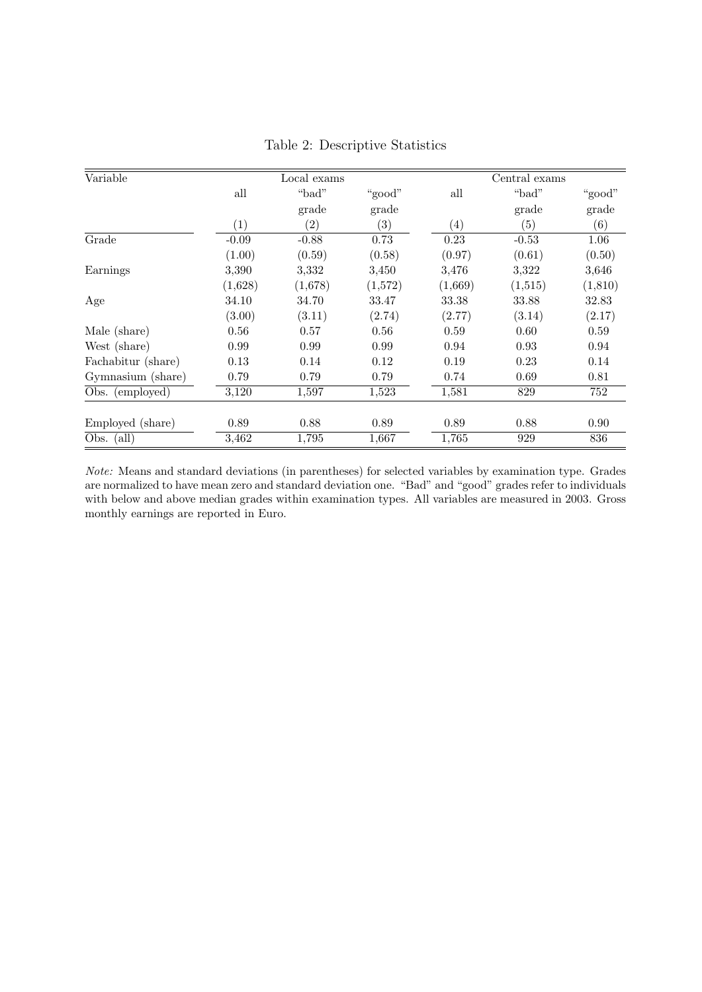| Variable            |         | Local exams       |                   |                   | Central exams |          |
|---------------------|---------|-------------------|-------------------|-------------------|---------------|----------|
|                     | all     | "bad"             | "good"            | all               | "bad"         | "good"   |
|                     |         | grade             | grade             |                   | grade         | grade    |
|                     | (1)     | $\left( 2\right)$ | $\left( 3\right)$ | $\left( 4\right)$ | (5)           | (6)      |
| Grade               | $-0.09$ | $-0.88$           | 0.73              | 0.23              | $-0.53$       | 1.06     |
|                     | (1.00)  | (0.59)            | (0.58)            | (0.97)            | (0.61)        | (0.50)   |
| Earnings            | 3,390   | 3,332             | 3,450             | 3,476             | 3,322         | 3,646    |
|                     | (1,628) | (1,678)           | (1,572)           | (1,669)           | (1,515)       | (1, 810) |
| Age                 | 34.10   | 34.70             | 33.47             | 33.38             | 33.88         | 32.83    |
|                     | (3.00)  | (3.11)            | (2.74)            | (2.77)            | (3.14)        | (2.17)   |
| Male (share)        | 0.56    | 0.57              | 0.56              | 0.59              | 0.60          | 0.59     |
| West (share)        | 0.99    | 0.99              | 0.99              | 0.94              | 0.93          | 0.94     |
| Fachabitur (share)  | 0.13    | 0.14              | 0.12              | 0.19              | 0.23          | 0.14     |
| Gymnasium (share)   | 0.79    | 0.79              | 0.79              | 0.74              | 0.69          | 0.81     |
| Obs. (employed)     | 3,120   | 1,597             | 1,523             | 1,581             | 829           | 752      |
| Employed (share)    | 0.89    | 0.88              | 0.89              | 0.89              | 0.88          | 0.90     |
| Obs. $(\text{all})$ | 3,462   | 1,795             | 1,667             | 1,765             | 929           | 836      |

Table 2: Descriptive Statistics

*Note:* Means and standard deviations (in parentheses) for selected variables by examination type. Grades are normalized to have mean zero and standard deviation one. "Bad" and "good" grades refer to individuals with below and above median grades within examination types. All variables are measured in 2003. Gross monthly earnings are reported in Euro.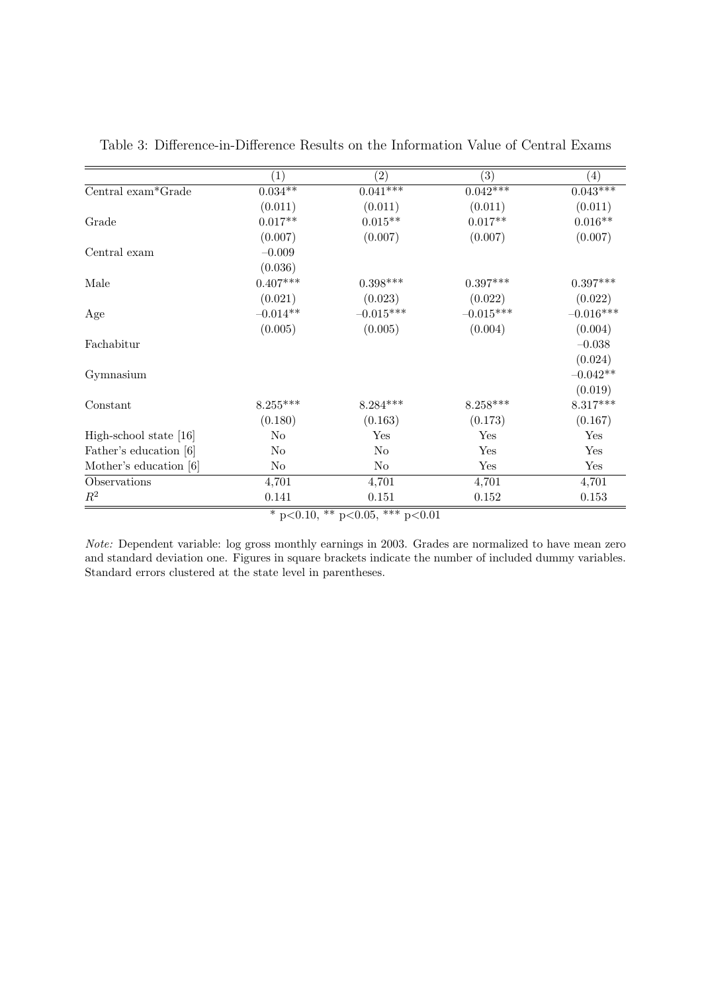|                        | (1)        | $\left( 2\right)$                                     | (3)         | $\left( 4\right)$ |
|------------------------|------------|-------------------------------------------------------|-------------|-------------------|
| Central exam*Grade     | $0.034**$  | $0.041***$                                            | $0.042***$  | $0.043***$        |
|                        | (0.011)    | (0.011)                                               | (0.011)     | (0.011)           |
| Grade                  | $0.017**$  | $0.015**$                                             | $0.017**$   | $0.016**$         |
|                        | (0.007)    | (0.007)                                               | (0.007)     | (0.007)           |
| Central exam           | $-0.009$   |                                                       |             |                   |
|                        | (0.036)    |                                                       |             |                   |
| Male                   | $0.407***$ | $0.398***$                                            | $0.397***$  | $0.397***$        |
|                        | (0.021)    | (0.023)                                               | (0.022)     | (0.022)           |
| Age                    | $-0.014**$ | $-0.015***$                                           | $-0.015***$ | $-0.016***$       |
|                        | (0.005)    | (0.005)                                               | (0.004)     | (0.004)           |
| Fachabitur             |            |                                                       |             | $-0.038$          |
|                        |            |                                                       |             | (0.024)           |
| Gymnasium              |            |                                                       |             | $-0.042**$        |
|                        |            |                                                       |             | (0.019)           |
| Constant               | $8.255***$ | $8.284***$                                            | $8.258***$  | $8.317***$        |
|                        | (0.180)    | (0.163)                                               | (0.173)     | (0.167)           |
| High-school state [16] | No         | Yes                                                   | Yes         | Yes               |
| Father's education [6] | No         | No                                                    | Yes         | Yes               |
| Mother's education [6] | No         | No                                                    | Yes         | Yes               |
| Observations           | 4,701      | 4,701                                                 | 4,701       | 4,701             |
| $\mathbb{R}^2$         | 0.141      | 0.151                                                 | 0.152       | $0.153\,$         |
|                        |            | $*$ $\sim$ 20.10 $**$ $\sim$ 20.05 $***$ $\sim$ 20.01 |             |                   |

Table 3: Difference-in-Difference Results on the Information Value of Central Exams

*Note:* Dependent variable: log gross monthly earnings in 2003. Grades are normalized to have mean zero and standard deviation one. Figures in square brackets indicate the number of included dummy variables. Standard errors clustered at the state level in parentheses.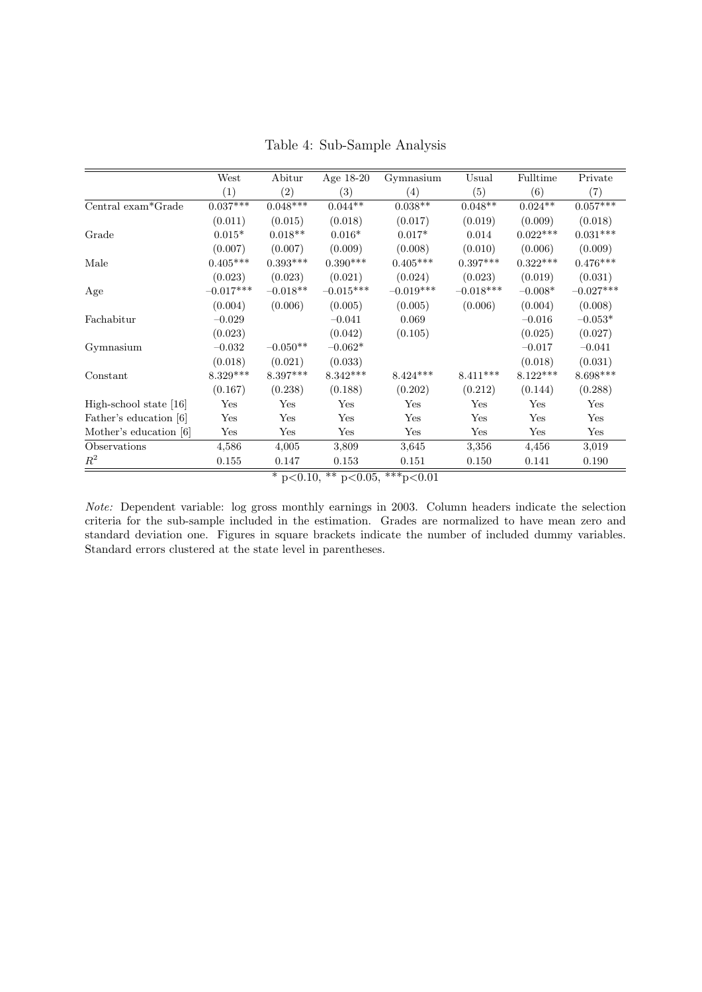|                        | West        | Abitur     | Age 18-20   | Gymnasium                                                   | Usual       | Fulltime   | Private     |
|------------------------|-------------|------------|-------------|-------------------------------------------------------------|-------------|------------|-------------|
|                        | (1)         | (2)        | (3)         | (4)                                                         | (5)         | (6)        | (7)         |
| Central exam*Grade     | $0.037***$  | $0.048***$ | $0.044**$   | $0.038**$                                                   | $0.048**$   | $0.024**$  | $0.057***$  |
|                        | (0.011)     | (0.015)    | (0.018)     | (0.017)                                                     | (0.019)     | (0.009)    | (0.018)     |
| Grade                  | $0.015*$    | $0.018**$  | $0.016*$    | $0.017*$                                                    | 0.014       | $0.022***$ | $0.031***$  |
|                        | (0.007)     | (0.007)    | (0.009)     | (0.008)                                                     | (0.010)     | (0.006)    | (0.009)     |
| Male                   | $0.405***$  | $0.393***$ | $0.390***$  | $0.405***$                                                  | $0.397***$  | $0.322***$ | $0.476***$  |
|                        | (0.023)     | (0.023)    | (0.021)     | (0.024)                                                     | (0.023)     | (0.019)    | (0.031)     |
| Age                    | $-0.017***$ | $-0.018**$ | $-0.015***$ | $-0.019***$                                                 | $-0.018***$ | $-0.008*$  | $-0.027***$ |
|                        | (0.004)     | (0.006)    | (0.005)     | (0.005)                                                     | (0.006)     | (0.004)    | (0.008)     |
| Fachabitur             | $-0.029$    |            | $-0.041$    | 0.069                                                       |             | $-0.016$   | $-0.053*$   |
|                        | (0.023)     |            | (0.042)     | (0.105)                                                     |             | (0.025)    | (0.027)     |
| Gymnasium              | $-0.032$    | $-0.050**$ | $-0.062*$   |                                                             |             | $-0.017$   | $-0.041$    |
|                        | (0.018)     | (0.021)    | (0.033)     |                                                             |             | (0.018)    | (0.031)     |
| Constant               | $8.329***$  | $8.397***$ | $8.342***$  | $8.424***$                                                  | $8.411***$  | $8.122***$ | $8.698***$  |
|                        | (0.167)     | (0.238)    | (0.188)     | (0.202)                                                     | (0.212)     | (0.144)    | (0.288)     |
| High-school state [16] | Yes         | Yes        | Yes         | Yes                                                         | Yes         | Yes        | Yes         |
| Father's education [6] | Yes         | Yes        | Yes         | Yes                                                         | Yes         | Yes        | Yes         |
| Mother's education [6] | Yes         | Yes        | Yes         | Yes                                                         | Yes         | Yes        | Yes         |
| Observations           | 4,586       | 4,005      | 3,809       | 3,645                                                       | 3,356       | 4,456      | 3,019       |
| $R^2$                  | 0.155       | 0.147      | 0.153       | 0.151                                                       | 0.150       | 0.141      | 0.190       |
|                        |             |            |             | $*$ $\sim$ 0.10 $*$ $*$ $\sim$ 0.05 $*$ $*$ $*$ $\sim$ 0.01 |             |            |             |

Table 4: Sub-Sample Analysis

*Note:* Dependent variable: log gross monthly earnings in 2003. Column headers indicate the selection criteria for the sub-sample included in the estimation. Grades are normalized to have mean zero and standard deviation one. Figures in square brackets indicate the number of included dummy variables. Standard errors clustered at the state level in parentheses.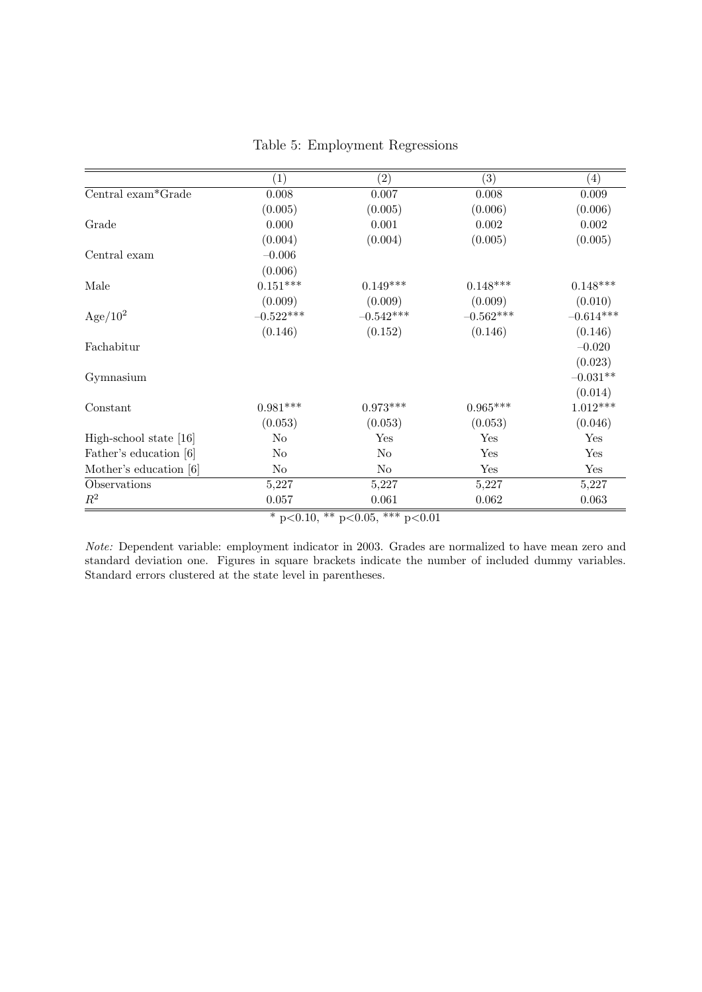|                        | $\left( 1\right)$ | $\left( 2\right)$ | (3)         | $\left( 4\right)$ |
|------------------------|-------------------|-------------------|-------------|-------------------|
| Central exam*Grade     | 0.008             | 0.007             | 0.008       | 0.009             |
|                        | (0.005)           | (0.005)           | (0.006)     | (0.006)           |
| Grade                  | 0.000             | 0.001             | 0.002       | 0.002             |
|                        | (0.004)           | (0.004)           | (0.005)     | (0.005)           |
| Central exam           | $-0.006$          |                   |             |                   |
|                        | (0.006)           |                   |             |                   |
| Male                   | $0.151***$        | $0.149***$        | $0.148***$  | $0.148***$        |
|                        | (0.009)           | (0.009)           | (0.009)     | (0.010)           |
| Age/10 <sup>2</sup>    | $-0.522***$       | $-0.542***$       | $-0.562***$ | $-0.614***$       |
|                        | (0.146)           | (0.152)           | (0.146)     | (0.146)           |
| Fachabitur             |                   |                   |             | $-0.020$          |
|                        |                   |                   |             | (0.023)           |
| Gymnasium              |                   |                   |             | $-0.031**$        |
|                        |                   |                   |             | (0.014)           |
| Constant               | $0.981***$        | $0.973***$        | $0.965***$  | $1.012***$        |
|                        | (0.053)           | (0.053)           | (0.053)     | (0.046)           |
| High-school state [16] | No                | Yes               | Yes         | Yes               |
| Father's education [6] | No                | No                | Yes         | Yes               |
| Mother's education [6] | No                | No                | Yes         | Yes               |
| Observations           | 5,227             | 5,227             | 5,227       | 5,227             |
| $R^2$                  | 0.057             | 0.061             | 0.062       | 0.063             |

Table 5: Employment Regressions

*Note:* Dependent variable: employment indicator in 2003. Grades are normalized to have mean zero and standard deviation one. Figures in square brackets indicate the number of included dummy variables. Standard errors clustered at the state level in parentheses.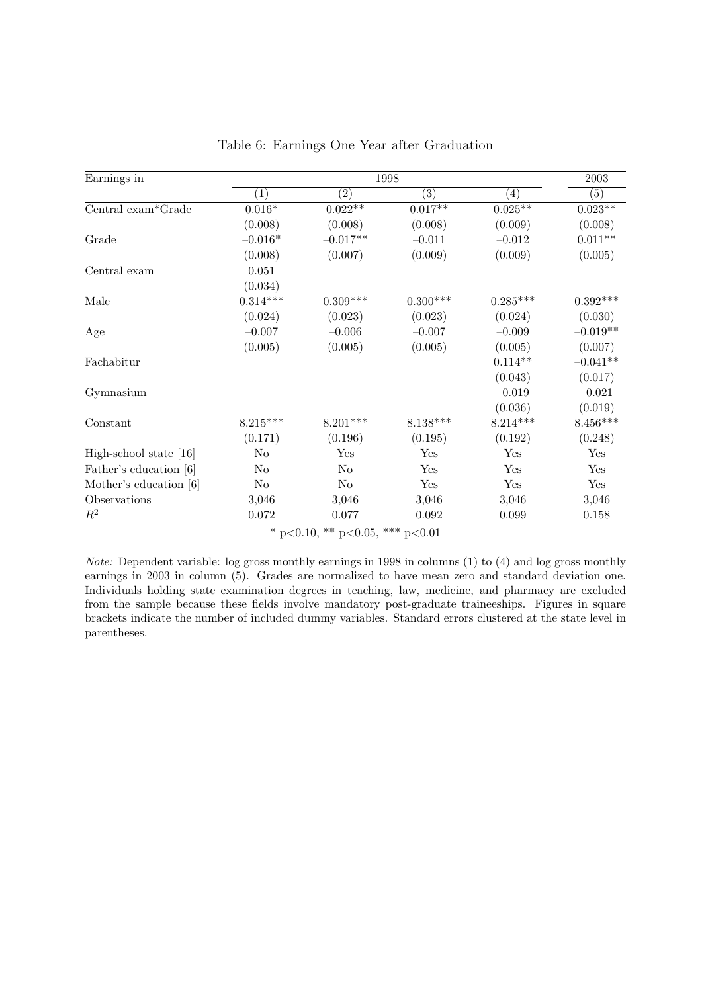| Earnings in            |                |                   | 1998       |                   | $\,2003\,$   |
|------------------------|----------------|-------------------|------------|-------------------|--------------|
|                        | (1)            | $\left( 2\right)$ | (3)        | $\left( 4\right)$ | (5)          |
| Central exam*Grade     | $0.016*$       | $0.022**$         | $0.017**$  | $0.025**$         | $0.023**$    |
|                        | (0.008)        | (0.008)           | (0.008)    | (0.009)           | (0.008)      |
| Grade                  | $-0.016*$      | $-0.017**$        | $-0.011$   | $-0.012$          | $0.011^{**}$ |
|                        | (0.008)        | (0.007)           | (0.009)    | (0.009)           | (0.005)      |
| Central exam           | 0.051          |                   |            |                   |              |
|                        | (0.034)        |                   |            |                   |              |
| Male                   | $0.314***$     | $0.309***$        | $0.300***$ | $0.285***$        | $0.392***$   |
|                        | (0.024)        | (0.023)           | (0.023)    | (0.024)           | (0.030)      |
| Age                    | $-0.007$       | $-0.006$          | $-0.007$   | $-0.009$          | $-0.019**$   |
|                        | (0.005)        | (0.005)           | (0.005)    | (0.005)           | (0.007)      |
| Fachabitur             |                |                   |            | $0.114**$         | $-0.041**$   |
|                        |                |                   |            | (0.043)           | (0.017)      |
| Gymnasium              |                |                   |            | $-0.019$          | $-0.021$     |
|                        |                |                   |            | (0.036)           | (0.019)      |
| Constant               | $8.215***$     | $8.201***$        | $8.138***$ | $8.214***$        | $8.456***$   |
|                        | (0.171)        | (0.196)           | (0.195)    | (0.192)           | (0.248)      |
| High-school state [16] | N <sub>o</sub> | Yes               | Yes        | Yes               | Yes          |
| Father's education [6] | No             | No                | Yes        | Yes               | Yes          |
| Mother's education [6] | No             | No                | Yes        | Yes               | Yes          |
| Observations           | 3,046          | 3,046             | 3,046      | 3,046             | 3,046        |
| $\mathbb{R}^2$         | $0.072\,$      | 0.077             | 0.092      | $\,0.099\,$       | 0.158        |

Table 6: Earnings One Year after Graduation

*Note:* Dependent variable: log gross monthly earnings in 1998 in columns (1) to (4) and log gross monthly earnings in 2003 in column (5). Grades are normalized to have mean zero and standard deviation one. Individuals holding state examination degrees in teaching, law, medicine, and pharmacy are excluded from the sample because these fields involve mandatory post-graduate traineeships. Figures in square brackets indicate the number of included dummy variables. Standard errors clustered at the state level in parentheses.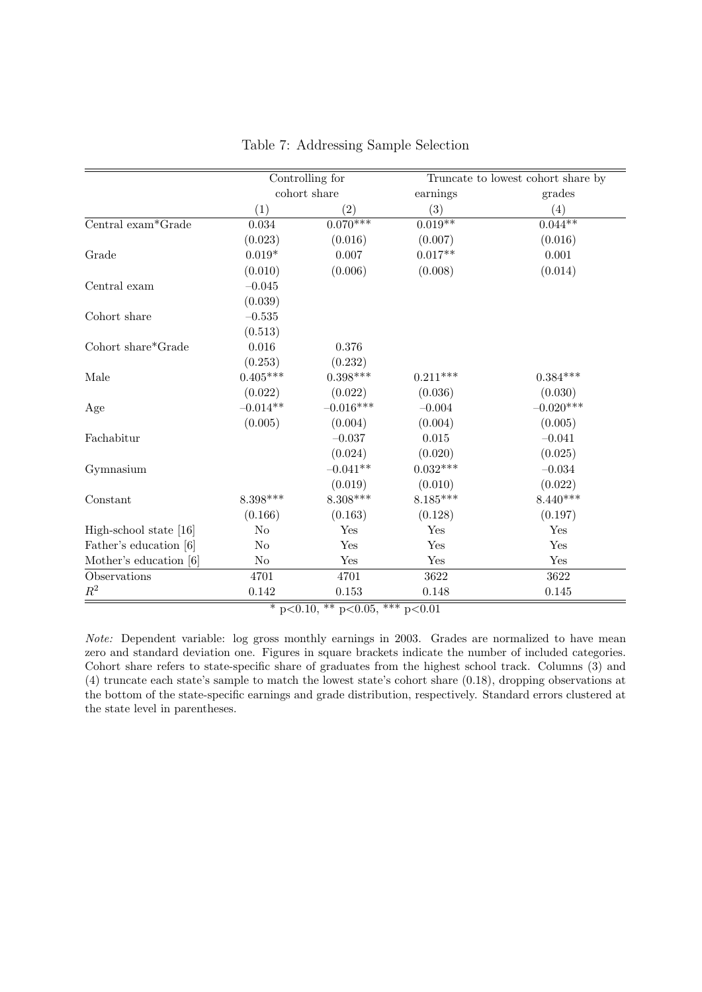|                        |            | Controlling for |            | Truncate to lowest cohort share by |  |  |
|------------------------|------------|-----------------|------------|------------------------------------|--|--|
|                        |            | cohort share    | earnings   | grades                             |  |  |
|                        | (1)        | (2)             | (3)        | (4)                                |  |  |
| Central exam*Grade     | 0.034      | $0.070***$      | $0.019**$  | $0.044***$                         |  |  |
|                        | (0.023)    | (0.016)         | (0.007)    | (0.016)                            |  |  |
| Grade                  | $0.019*$   | 0.007           | $0.017**$  | 0.001                              |  |  |
|                        | (0.010)    | (0.006)         | (0.008)    | (0.014)                            |  |  |
| Central exam           | $-0.045$   |                 |            |                                    |  |  |
|                        | (0.039)    |                 |            |                                    |  |  |
| Cohort share           | $-0.535$   |                 |            |                                    |  |  |
|                        | (0.513)    |                 |            |                                    |  |  |
| Cohort share*Grade     | 0.016      | 0.376           |            |                                    |  |  |
|                        | (0.253)    | (0.232)         |            |                                    |  |  |
| Male                   | $0.405***$ | $0.398***$      | $0.211***$ | $0.384***$                         |  |  |
|                        | (0.022)    | (0.022)         | (0.036)    | (0.030)                            |  |  |
| Age                    | $-0.014**$ | $-0.016***$     | $-0.004$   | $-0.020***$                        |  |  |
|                        | (0.005)    | (0.004)         | (0.004)    | (0.005)                            |  |  |
| Fachabitur             |            | $-0.037$        | 0.015      | $-0.041$                           |  |  |
|                        |            | (0.024)         | (0.020)    | (0.025)                            |  |  |
| Gymnasium              |            | $-0.041**$      | $0.032***$ | $-0.034$                           |  |  |
|                        |            | (0.019)         | (0.010)    | (0.022)                            |  |  |
| Constant               | $8.398***$ | $8.308***$      | $8.185***$ | $8.440***$                         |  |  |
|                        | (0.166)    | (0.163)         | (0.128)    | (0.197)                            |  |  |
| High-school state [16] | No         | Yes             | Yes        | Yes                                |  |  |
| Father's education [6] | $\rm No$   | Yes             | Yes        | Yes                                |  |  |
| Mother's education [6] | $\rm No$   | Yes             | Yes        | Yes                                |  |  |
| Observations           | 4701       | 4701            | 3622       | 3622                               |  |  |
| $\mathbb{R}^2$         | 0.142      | 0.153           | 0.148      | 0.145                              |  |  |

Table 7: Addressing Sample Selection

*Note:* Dependent variable: log gross monthly earnings in 2003. Grades are normalized to have mean zero and standard deviation one. Figures in square brackets indicate the number of included categories. Cohort share refers to state-specific share of graduates from the highest school track. Columns (3) and (4) truncate each state's sample to match the lowest state's cohort share (0.18), dropping observations at the bottom of the state-specific earnings and grade distribution, respectively. Standard errors clustered at the state level in parentheses.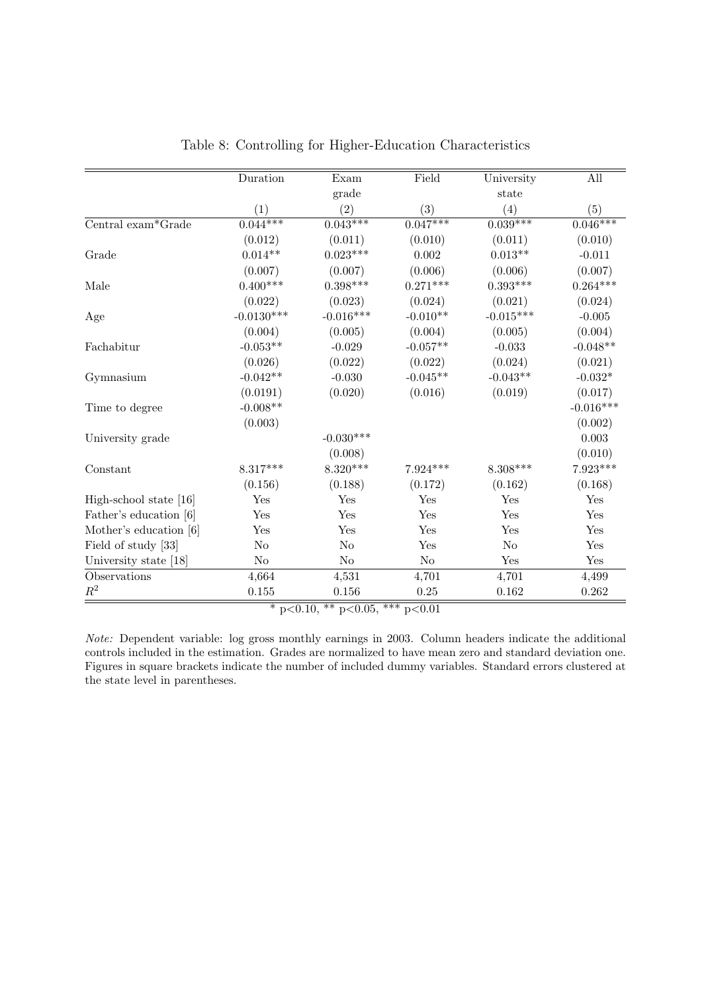|                        | Duration     | Exam                                    | Field      | University  | All                  |
|------------------------|--------------|-----------------------------------------|------------|-------------|----------------------|
|                        |              | grade                                   |            | state       |                      |
|                        | (1)          | (2)                                     | (3)        | (4)         | (5)                  |
| Central exam*Grade     | $0.044***$   | $0.043***$                              | $0.047***$ | $0.039***$  | $0.046***$           |
|                        | (0.012)      | (0.011)                                 | (0.010)    | (0.011)     | (0.010)              |
| Grade                  | $0.014**$    | $0.023***$                              | 0.002      | $0.013**$   | $-0.011$             |
|                        | (0.007)      | (0.007)                                 | (0.006)    | (0.006)     | (0.007)              |
| Male                   | $0.400***$   | $0.398***$                              | $0.271***$ | $0.393***$  | $0.264***$           |
|                        | (0.022)      | (0.023)                                 | (0.024)    | (0.021)     | (0.024)              |
| Age                    | $-0.0130***$ | $-0.016***$                             | $-0.010**$ | $-0.015***$ | $-0.005$             |
|                        | (0.004)      | (0.005)                                 | (0.004)    | (0.005)     | (0.004)              |
| Fachabitur             | $-0.053**$   | $-0.029$                                | $-0.057**$ | $-0.033$    | $-0.048**$           |
|                        | (0.026)      | (0.022)                                 | (0.022)    | (0.024)     | (0.021)              |
| Gymnasium              | $-0.042**$   | $-0.030$                                | $-0.045**$ | $-0.043**$  | $-0.032*$            |
|                        | (0.0191)     | (0.020)                                 | (0.016)    | (0.019)     | (0.017)              |
| Time to degree         | $-0.008**$   |                                         |            |             | $-0.016***$          |
|                        | (0.003)      |                                         |            |             | (0.002)              |
| University grade       |              | $-0.030***$                             |            |             | 0.003                |
|                        |              | (0.008)                                 |            |             | (0.010)              |
| Constant               | $8.317***$   | $8.320***$                              | $7.924***$ | $8.308***$  | 7.923***             |
|                        | (0.156)      | (0.188)                                 | (0.172)    | (0.162)     | (0.168)              |
| High-school state [16] | Yes          | Yes                                     | Yes        | Yes         | Yes                  |
| Father's education [6] | Yes          | Yes                                     | Yes        | Yes         | Yes                  |
| Mother's education [6] | Yes          | Yes                                     | Yes        | Yes         | $\operatorname{Yes}$ |
| Field of study [33]    | $\rm No$     | No                                      | Yes        | No          | Yes                  |
| University state [18]  | $\rm No$     | $\rm No$                                | $\rm No$   | Yes         | Yes                  |
| Observations           | 4,664        | 4,531                                   | 4,701      | 4,701       | 4,499                |
| $\mathbb{R}^2$         | $0.155\,$    | 0.156                                   | 0.25       | 0.162       | 0.262                |
|                        |              | * $p<0.10$ , ** $p<0.05$ , *** $p<0.01$ |            |             |                      |

Table 8: Controlling for Higher-Education Characteristics

*Note:* Dependent variable: log gross monthly earnings in 2003. Column headers indicate the additional controls included in the estimation. Grades are normalized to have mean zero and standard deviation one. Figures in square brackets indicate the number of included dummy variables. Standard errors clustered at the state level in parentheses.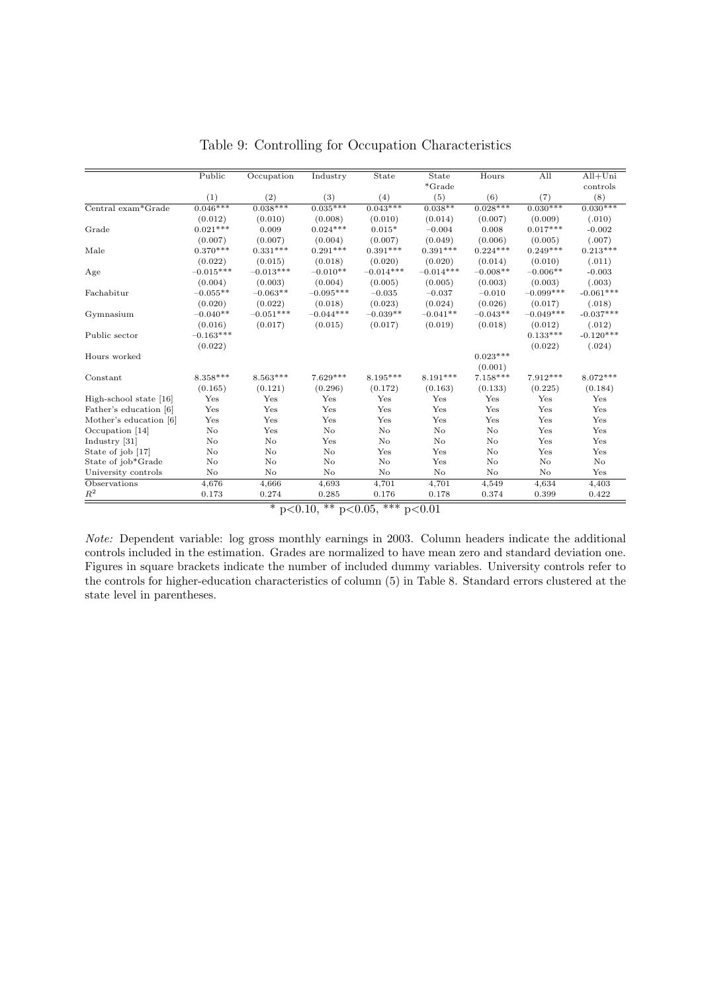|                        | Public      | Occupation  | Industry                        | State       | State       | Hours      | All         | $All+Uni$   |
|------------------------|-------------|-------------|---------------------------------|-------------|-------------|------------|-------------|-------------|
|                        |             |             |                                 |             | $*Grade$    |            |             | controls    |
|                        | (1)         | (2)         | (3)                             | (4)         | (5)         | (6)        | (7)         | (8)         |
| Central exam*Grade     | $0.046***$  | $0.038***$  | $0.035***$                      | $0.043***$  | $0.038**$   | $0.028***$ | $0.030***$  | $0.030***$  |
|                        | (0.012)     | (0.010)     | (0.008)                         | (0.010)     | (0.014)     | (0.007)    | (0.009)     | (.010)      |
| Grade                  | $0.021***$  | 0.009       | $0.024***$                      | $0.015*$    | $-0.004$    | 0.008      | $0.017***$  | $-0.002$    |
|                        | (0.007)     | (0.007)     | (0.004)                         | (0.007)     | (0.049)     | (0.006)    | (0.005)     | (.007)      |
| Male                   | $0.370***$  | $0.331***$  | $0.291***$                      | $0.391***$  | $0.391***$  | $0.224***$ | $0.249***$  | $0.213***$  |
|                        | (0.022)     | (0.015)     | (0.018)                         | (0.020)     | (0.020)     | (0.014)    | (0.010)     | (.011)      |
| $_{\rm Age}$           | $-0.015***$ | $-0.013***$ | $-0.010**$                      | $-0.014***$ | $-0.014***$ | $-0.008**$ | $-0.006**$  | $-0.003$    |
|                        | (0.004)     | (0.003)     | (0.004)                         | (0.005)     | (0.005)     | (0.003)    | (0.003)     | (.003)      |
| Fachabitur             | $-0.055**$  | $-0.063**$  | $-0.095***$                     | $-0.035$    | $-0.037$    | $-0.010$   | $-0.099***$ | $-0.061***$ |
|                        | (0.020)     | (0.022)     | (0.018)                         | (0.023)     | (0.024)     | (0.026)    | (0.017)     | (.018)      |
| Gymnasium              | $-0.040**$  | $-0.051***$ | $-0.044***$                     | $-0.039**$  | $-0.041**$  | $-0.043**$ | $-0.049***$ | $-0.037***$ |
|                        | (0.016)     | (0.017)     | (0.015)                         | (0.017)     | (0.019)     | (0.018)    | (0.012)     | (.012)      |
| Public sector          | $-0.163***$ |             |                                 |             |             |            | $0.133***$  | $-0.120***$ |
|                        | (0.022)     |             |                                 |             |             |            | (0.022)     | (.024)      |
| Hours worked           |             |             |                                 |             |             | $0.023***$ |             |             |
|                        |             |             |                                 |             |             | (0.001)    |             |             |
| Constant               | 8.358***    | $8.563***$  | $7.629***$                      | $8.195***$  | $8.191***$  | $7.158***$ | $7.912***$  | $8.072***$  |
|                        | (0.165)     | (0.121)     | (0.296)                         | (0.172)     | (0.163)     | (0.133)    | (0.225)     | (0.184)     |
| High-school state [16] | Yes         | Yes         | Yes                             | Yes         | Yes         | Yes        | Yes         | Yes         |
| Father's education [6] | Yes         | Yes         | Yes                             | Yes         | Yes         | Yes        | Yes         | Yes         |
| Mother's education [6] | Yes         | Yes         | Yes                             | Yes         | Yes         | Yes        | Yes         | Yes         |
| Occupation [14]        | No          | Yes         | No                              | No          | $\rm No$    | No         | Yes         | Yes         |
| Industry [31]          | No          | No          | Yes                             | No          | No          | No         | Yes         | Yes         |
| State of job [17]      | No          | No          | N <sub>o</sub>                  | Yes         | Yes         | No         | Yes         | Yes         |
| State of job*Grade     | No          | No          | No                              | No          | Yes         | No         | No          | No          |
| University controls    | No          | $\rm No$    | No                              | No          | $\rm No$    | $\rm No$   | $\rm No$    | Yes         |
| Observations           | 4,676       | 4,666       | 4,693                           | 4,701       | 4,701       | 4,549      | 4,634       | 4,403       |
| $R^2$                  | 0.173       | 0.274       | 0.285                           | 0.176       | 0.178       | 0.374      | 0.399       | 0.422       |
|                        |             |             | * p<0.10, ** p<0.05, *** p<0.01 |             |             |            |             |             |

Table 9: Controlling for Occupation Characteristics

*Note:* Dependent variable: log gross monthly earnings in 2003. Column headers indicate the additional controls included in the estimation. Grades are normalized to have mean zero and standard deviation one. Figures in square brackets indicate the number of included dummy variables. University controls refer to the controls for higher-education characteristics of column (5) in Table 8. Standard errors clustered at the state level in parentheses.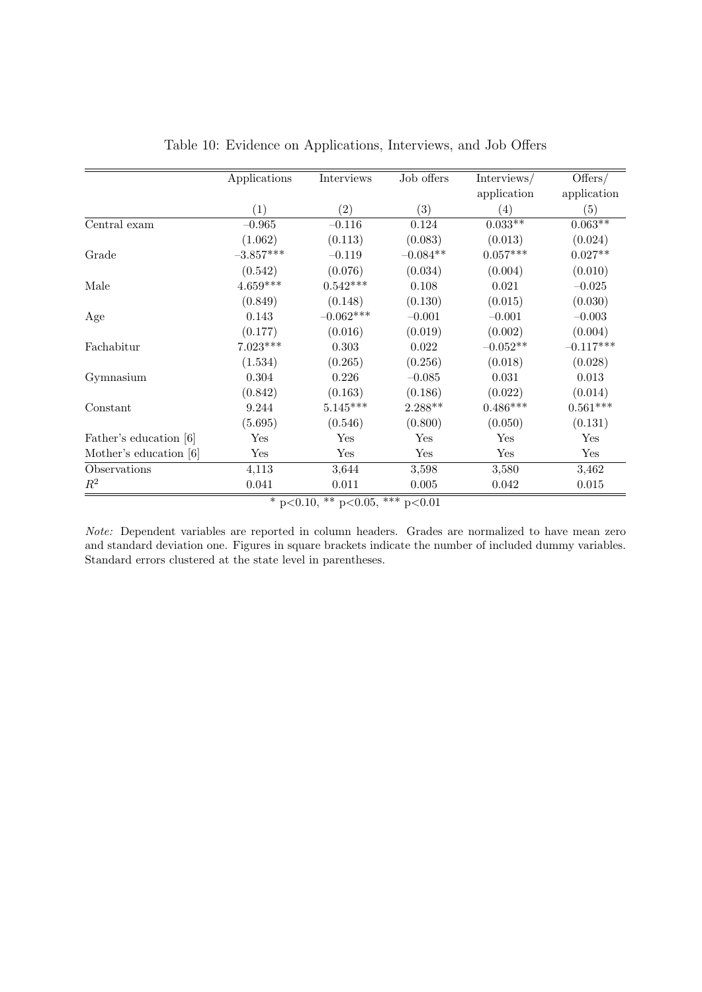|                        | Applications | Interviews                      | Job offers | Interviews/ | Offers/     |
|------------------------|--------------|---------------------------------|------------|-------------|-------------|
|                        |              |                                 |            | application | application |
|                        | (1)          | $\left( 2\right)$               | (3)        | (4)         | (5)         |
| Central exam           | $-0.965$     | $-0.116$                        | 0.124      | $0.033**$   | $0.063**$   |
|                        | (1.062)      | (0.113)                         | (0.083)    | (0.013)     | (0.024)     |
| Grade                  | $-3.857***$  | $-0.119$                        | $-0.084**$ | $0.057***$  | $0.027**$   |
|                        | (0.542)      | (0.076)                         | (0.034)    | (0.004)     | (0.010)     |
| Male                   | $4.659***$   | $0.542***$                      | 0.108      | 0.021       | $-0.025$    |
|                        | (0.849)      | (0.148)                         | (0.130)    | (0.015)     | (0.030)     |
| Age                    | 0.143        | $-0.062***$                     | $-0.001$   | $-0.001$    | $-0.003$    |
|                        | (0.177)      | (0.016)                         | (0.019)    | (0.002)     | (0.004)     |
| Fachabitur             | $7.023***$   | $0.303\,$                       | $0.022\,$  | $-0.052**$  | $-0.117***$ |
|                        | (1.534)      | (0.265)                         | (0.256)    | (0.018)     | (0.028)     |
| Gymnasium              | $0.304\,$    | 0.226                           | $-0.085$   | 0.031       | 0.013       |
|                        | (0.842)      | (0.163)                         | (0.186)    | (0.022)     | (0.014)     |
| Constant               | 9.244        | $5.145^{***}\,$                 | $2.288**$  | $0.486***$  | $0.561***$  |
|                        | (5.695)      | (0.546)                         | (0.800)    | (0.050)     | (0.131)     |
| Father's education [6] | Yes          | Yes                             | Yes        | Yes         | Yes         |
| Mother's education [6] | Yes          | Yes                             | Yes        | Yes         | Yes         |
| Observations           | 4,113        | 3,644                           | 3,598      | 3,580       | 3,462       |
| $R^2$                  | 0.041        | 0.011                           | 0.005      | 0.042       | 0.015       |
|                        |              | * p<0.10, ** p<0.05, *** p<0.01 |            |             |             |

|  |  |  |  |  | Table 10: Evidence on Applications, Interviews, and Job Offers |  |  |
|--|--|--|--|--|----------------------------------------------------------------|--|--|
|--|--|--|--|--|----------------------------------------------------------------|--|--|

*Note:* Dependent variables are reported in column headers. Grades are normalized to have mean zero and standard deviation one. Figures in square brackets indicate the number of included dummy variables. Standard errors clustered at the state level in parentheses.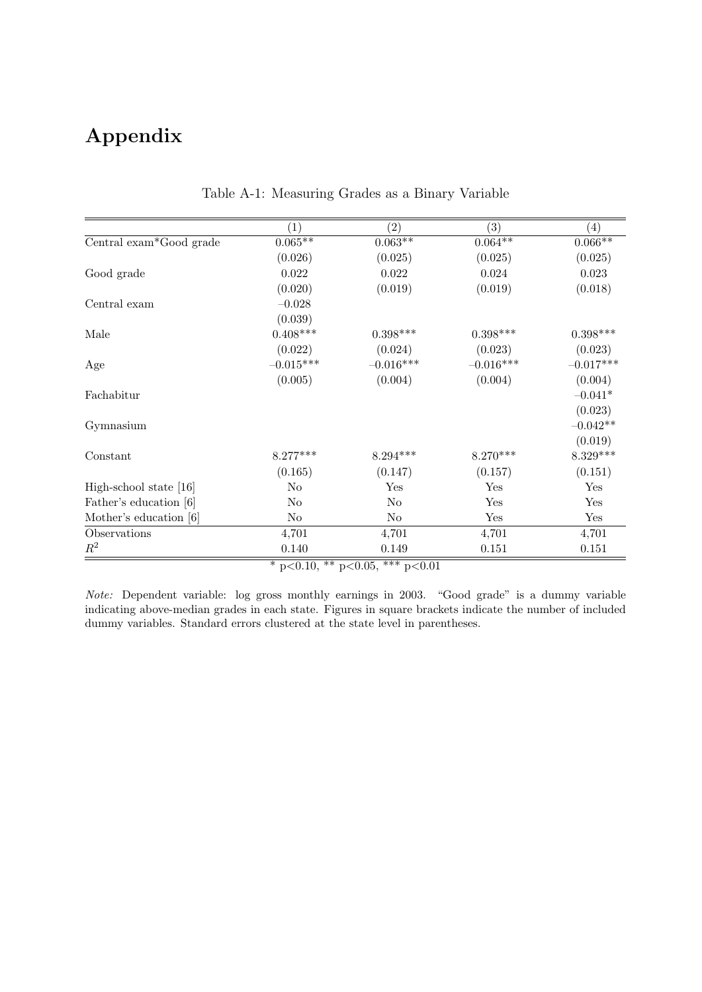# **Appendix**

|                          | $\left( 1\right)$ | (2)         | (3)         | $\left( 4\right)$ |
|--------------------------|-------------------|-------------|-------------|-------------------|
| Central exam*Good grade  | $0.065**$         | $0.063**$   | $0.064**$   | $0.066**$         |
|                          | (0.026)           | (0.025)     | (0.025)     | (0.025)           |
| Good grade               | 0.022             | 0.022       | 0.024       | 0.023             |
|                          | (0.020)           | (0.019)     | (0.019)     | (0.018)           |
| Central exam             | $-0.028$          |             |             |                   |
|                          | (0.039)           |             |             |                   |
| Male                     | $0.408***$        | $0.398***$  | $0.398***$  | $0.398***$        |
|                          | (0.022)           | (0.024)     | (0.023)     | (0.023)           |
| Age                      | $-0.015***$       | $-0.016***$ | $-0.016***$ | $-0.017***$       |
|                          | (0.005)           | (0.004)     | (0.004)     | (0.004)           |
| Fachabitur               |                   |             |             | $-0.041*$         |
|                          |                   |             |             | (0.023)           |
| Gymnasium                |                   |             |             | $-0.042**$        |
|                          |                   |             |             | (0.019)           |
| Constant                 | $8.277***$        | $8.294***$  | $8.270***$  | $8.329***$        |
|                          | (0.165)           | (0.147)     | (0.157)     | (0.151)           |
| High-school state $[16]$ | No                | Yes         | Yes         | Yes               |
| Father's education [6]   | No                | No          | Yes         | Yes               |
| Mother's education [6]   | No                | No          | Yes         | Yes               |
| Observations             | 4,701             | 4,701       | 4,701       | 4,701             |
| $R^2$                    | 0.140             | 0.149       | 0.151       | 0.151             |

Table A-1: Measuring Grades as a Binary Variable

\* p*<*0.10, \*\* p*<*0.05, \*\*\* p*<*0.01

*Note:* Dependent variable: log gross monthly earnings in 2003. "Good grade" is a dummy variable indicating above-median grades in each state. Figures in square brackets indicate the number of included dummy variables. Standard errors clustered at the state level in parentheses.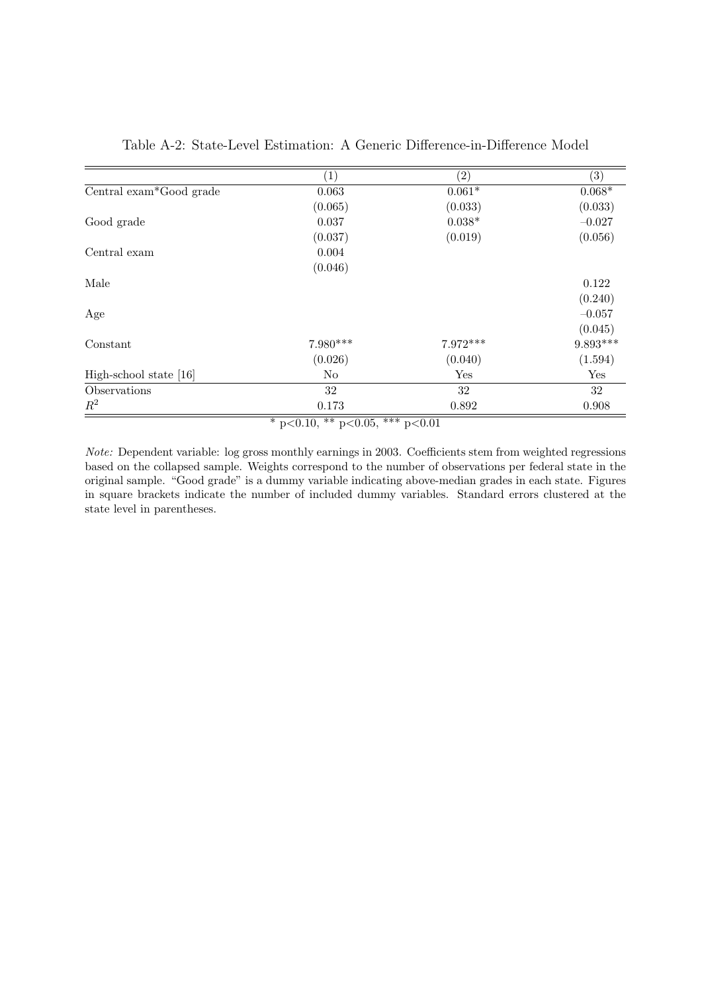|                         | $\left( 1\right)$               | (2)        | $\left( 3\right)$      |
|-------------------------|---------------------------------|------------|------------------------|
| Central exam*Good grade | 0.063                           | $0.061*$   | $0.068*$               |
|                         | (0.065)                         | (0.033)    | (0.033)                |
|                         |                                 |            |                        |
| Good grade              | 0.037                           | $0.038*$   | $-0.027$               |
|                         | (0.037)                         | (0.019)    | (0.056)                |
| Central exam            | 0.004                           |            |                        |
|                         | (0.046)                         |            |                        |
| Male                    |                                 |            | 0.122                  |
|                         |                                 |            | (0.240)                |
| Age                     |                                 |            | $-0.057$               |
|                         |                                 |            | (0.045)                |
| Constant                | $7.980***$                      | $7.972***$ | $9.893^{\ast\ast\ast}$ |
|                         | (0.026)                         | (0.040)    | (1.594)                |
| High-school state [16]  | No                              | Yes        | Yes                    |
| Observations            | 32                              | 32         | 32                     |
| $R^2$                   | 0.173                           | 0.892      | 0.908                  |
|                         | * p<0.10, ** p<0.05, *** p<0.01 |            |                        |

Table A-2: State-Level Estimation: A Generic Difference-in-Difference Model

*Note:* Dependent variable: log gross monthly earnings in 2003. Coefficients stem from weighted regressions based on the collapsed sample. Weights correspond to the number of observations per federal state in the original sample. "Good grade" is a dummy variable indicating above-median grades in each state. Figures in square brackets indicate the number of included dummy variables. Standard errors clustered at the state level in parentheses.